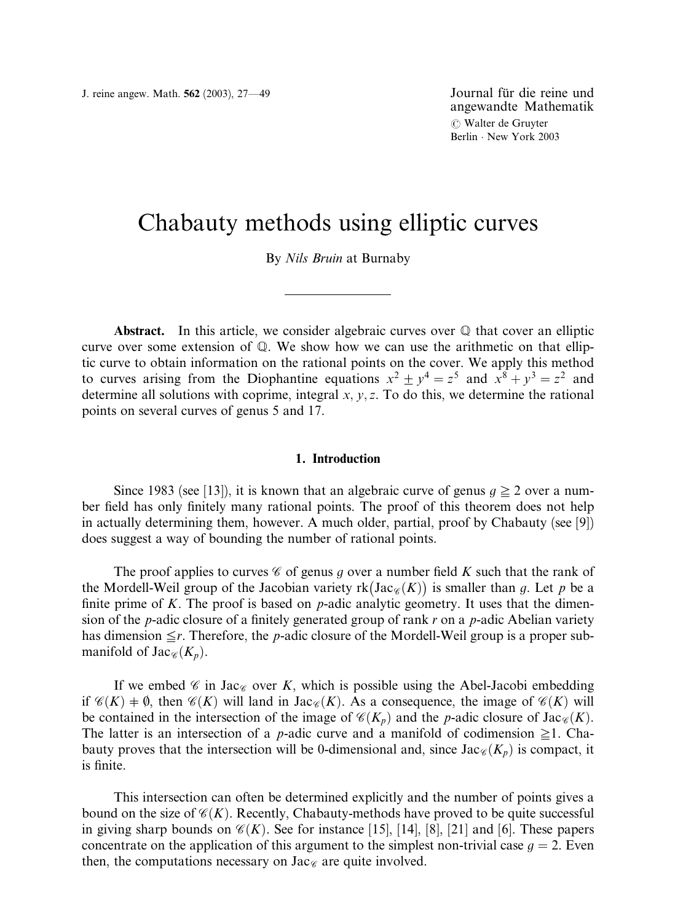angewandte Mathematik *(* Walter de Gruyter Berlin · New York 2003

# Chabauty methods using elliptic curves

By Nils Bruin at Burnaby

Abstract. In this article, we consider algebraic curves over  $\mathbb Q$  that cover an elliptic curve over some extension of Q. We show how we can use the arithmetic on that elliptic curve to obtain information on the rational points on the cover. We apply this method to curves arising from the Diophantine equations  $x^2 \pm y^4 = z^5$  and  $x^8 + y^3 = z^2$  and determine all solutions with coprime, integral  $x, y, z$ . To do this, we determine the rational points on several curves of genus 5 and 17.

## 1. Introduction

Since 1983 (see [13]), it is known that an algebraic curve of genus  $g \ge 2$  over a number field has only finitely many rational points. The proof of this theorem does not help in actually determining them, however. A much older, partial, proof by Chabauty (see [9]) does suggest a way of bounding the number of rational points.

The proof applies to curves  $\mathscr C$  of genus g over a number field K such that the rank of the Mordell-Weil group of the Jacobian variety  $rk(Jac_{\mathscr{C}}(K))$  is smaller than g. Let p be a finite prime of K. The proof is based on  $p$ -adic analytic geometry. It uses that the dimension of the *p*-adic closure of a finitely generated group of rank r on a *p*-adic Abelian variety has dimension  $\leq r$ . Therefore, the p-adic closure of the Mordell-Weil group is a proper submanifold of  $\text{Jac}_{\mathscr{C}}(K_p)$ .

If we embed  $\mathscr C$  in Jac $\mathscr C$  over K, which is possible using the Abel-Jacobi embedding if  $\mathcal{C}(K)$  +  $\emptyset$ , then  $\mathcal{C}(K)$  will land in Jac $\mathcal{C}(K)$ . As a consequence, the image of  $\mathcal{C}(K)$  will be contained in the intersection of the image of  $\mathcal{C}(K_p)$  and the p-adic closure of Jac $\mathcal{C}(K)$ . The latter is an intersection of a *p*-adic curve and a manifold of codimension  $\geq 1$ . Chabauty proves that the intersection will be 0-dimensional and, since  $\text{Jac}_{\mathscr{C}}(K_p)$  is compact, it is finite.

This intersection can often be determined explicitly and the number of points gives a bound on the size of  $\mathcal{C}(K)$ . Recently, Chabauty-methods have proved to be quite successful in giving sharp bounds on  $\mathcal{C}(K)$ . See for instance [15], [14], [8], [21] and [6]. These papers concentrate on the application of this argument to the simplest non-trivial case  $g = 2$ . Even then, the computations necessary on Jac $\epsilon$  are quite involved.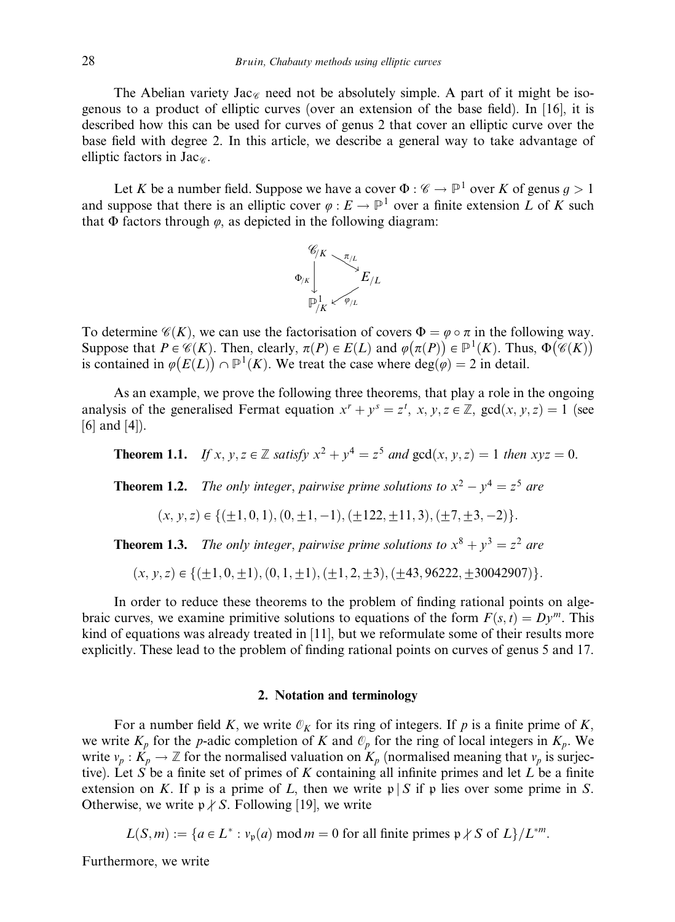The Abelian variety Jac<sub> $\alpha$ </sub> need not be absolutely simple. A part of it might be isogenous to a product of elliptic curves (over an extension of the base field). In [16], it is described how this can be used for curves of genus 2 that cover an elliptic curve over the base field with degree 2. In this article, we describe a general way to take advantage of elliptic factors in  $\text{Jac}_\infty$ .

Let K be a number field. Suppose we have a cover  $\Phi : \mathscr{C} \to \mathbb{P}^1$  over K of genus  $g > 1$ and suppose that there is an elliptic cover  $\varphi : E \to \mathbb{P}^1$  over a finite extension L of K such that  $\Phi$  factors through  $\varphi$ , as depicted in the following diagram:



To determine  $\mathscr{C}(K)$ , we can use the factorisation of covers  $\Phi = \varphi \circ \pi$  in the following way. Suppose that  $P \in \mathcal{C}(K)$ . Then, clearly,  $\pi(P) \in E(L)$  and  $\varphi(\pi(P)) \in \mathbb{P}^1(K)$ . Thus,  $\Phi(\mathcal{C}(K))$ is contained in  $\varphi(E(L)) \cap \mathbb{P}^1(K)$ . We treat the case where  $deg(\varphi) = 2$  in detail.

As an example, we prove the following three theorems, that play a role in the ongoing analysis of the generalised Fermat equation  $x^r + y^s = z^t$ ,  $x, y, z \in \mathbb{Z}$ ,  $gcd(x, y, z) = 1$  (see [6] and [4]).

**Theorem 1.1.** If x, y,  $z \in \mathbb{Z}$  satisfy  $x^2 + y^4 = z^5$  and  $\text{gcd}(x, y, z) = 1$  then  $xyz = 0$ .

**Theorem 1.2.** The only integer, pairwise prime solutions to  $x^2 - y^4 = z^5$  are

$$
(x, y, z) \in \{(\pm 1, 0, 1), (0, \pm 1, -1), (\pm 122, \pm 11, 3), (\pm 7, \pm 3, -2)\}.
$$

**Theorem 1.3.** The only integer, pairwise prime solutions to  $x^8 + y^3 = z^2$  are

$$
(x, y, z) \in \{(\pm 1, 0, \pm 1), (0, 1, \pm 1), (\pm 1, 2, \pm 3), (\pm 43, 96222, \pm 30042907)\}.
$$

In order to reduce these theorems to the problem of finding rational points on algebraic curves, we examine primitive solutions to equations of the form  $F(s, t) = Dy^m$ . This kind of equations was already treated in [11], but we reformulate some of their results more explicitly. These lead to the problem of finding rational points on curves of genus 5 and 17.

# 2. Notation and terminology

For a number field K, we write  $\mathcal{O}_K$  for its ring of integers. If p is a finite prime of K, we write  $K_p$  for the p-adic completion of K and  $\mathcal{O}_p$  for the ring of local integers in  $K_p$ . We write  $v_p : K_p \to \mathbb{Z}$  for the normalised valuation on  $K_p$  (normalised meaning that  $v_p$  is surjective). Let S be a finite set of primes of K containing all infinite primes and let  $L$  be a finite extension on K. If p is a prime of L, then we write  $p \mid S$  if p lies over some prime in S. Otherwise, we write  $p \nmid S$ . Following [19], we write

 $L(S,m) := \{a \in L^* : v_p(a) \text{ mod } m = 0 \text{ for all finite primes } p \nmid S \text{ of } L\}/L^{*m}.$ 

Furthermore, we write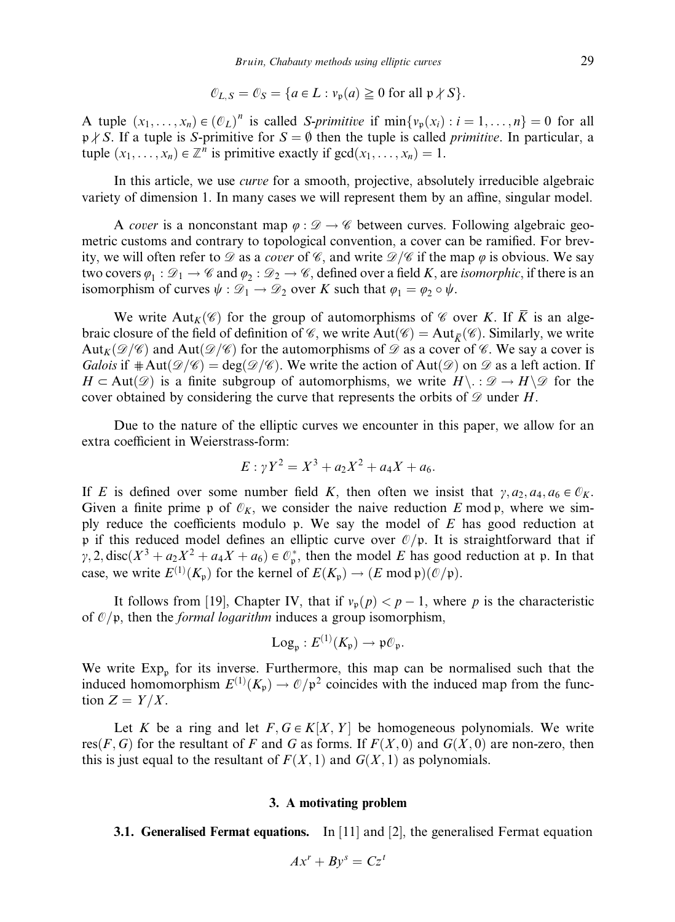$$
\mathcal{O}_{L,S} = \mathcal{O}_S = \{a \in L : v_{\mathfrak{p}}(a) \ge 0 \text{ for all } \mathfrak{p} \nmid S\}.
$$

A tuple  $(x_1, \ldots, x_n) \in (\mathcal{O}_L)^n$  is called S-primitive if  $\min\{v_p(x_i) : i = 1, \ldots, n\} = 0$  for all  $p \nmid S$ . If a tuple is S-primitive for  $S = \emptyset$  then the tuple is called *primitive*. In particular, a tuple  $(x_1, \ldots, x_n) \in \mathbb{Z}^n$  is primitive exactly if  $gcd(x_1, \ldots, x_n) = 1$ .

In this article, we use curve for a smooth, projective, absolutely irreducible algebraic variety of dimension 1. In many cases we will represent them by an affine, singular model.

A cover is a nonconstant map  $\varphi : \mathscr{D} \to \mathscr{C}$  between curves. Following algebraic geometric customs and contrary to topological convention, a cover can be ramified. For brevity, we will often refer to  $\mathscr D$  as a cover of  $\mathscr C$ , and write  $\mathscr D/\mathscr C$  if the map  $\varphi$  is obvious. We say two covers  $\varphi_1 : \mathcal{D}_1 \to \mathcal{C}$  and  $\varphi_2 : \mathcal{D}_2 \to \mathcal{C}$ , defined over a field K, are *isomorphic*, if there is an isomorphism of curves  $\psi : \mathcal{D}_1 \to \mathcal{D}_2$  over K such that  $\varphi_1 = \varphi_2 \circ \psi$ .

We write Aut<sub>K</sub>( $\mathscr{C}$ ) for the group of automorphisms of  $\mathscr{C}$  over K. If  $\overline{K}$  is an algebraic closure of the field of definition of  $\mathscr{C}$ , we write Aut $(\mathscr{C}) =$ Aut $_{\overline{\mathcal{K}}}(\mathscr{C})$ . Similarly, we write Aut<sub>K</sub> $(\mathcal{D}/\mathcal{C})$  and Aut $(\mathcal{D}/\mathcal{C})$  for the automorphisms of  $\mathcal D$  as a cover of  $\mathcal C$ . We say a cover is Galois if  $\#\text{Aut}(\mathcal{D}/\mathcal{C})=\deg(\mathcal{D}/\mathcal{C})$ . We write the action of Aut $(\mathcal{D})$  on  $\mathcal D$  as a left action. If  $H \subset \text{Aut}(\mathscr{D})$  is a finite subgroup of automorphisms, we write  $H \setminus \mathscr{D} \to H \setminus \mathscr{D}$  for the cover obtained by considering the curve that represents the orbits of  $\mathcal D$  under H.

Due to the nature of the elliptic curves we encounter in this paper, we allow for an extra coefficient in Weierstrass-form:

$$
E: \gamma Y^2 = X^3 + a_2 X^2 + a_4 X + a_6.
$$

If E is defined over some number field K, then often we insist that  $\gamma$ ,  $a_2$ ,  $a_4$ ,  $a_6 \in \mathbb{O}_K$ . Given a finite prime p of  $\mathcal{O}_K$ , we consider the naive reduction E mod p, where we simply reduce the coefficients modulo p. We say the model of  $E$  has good reduction at p if this reduced model defines an elliptic curve over  $\mathcal{O}/p$ . It is straightforward that if  $\gamma$ , 2, disc( $X^3 + a_2X^2 + a_4X + a_6$ )  $\in \mathcal{O}_p^*$ , then the model E has good reduction at p. In that case, we write  $E^{(1)}(K_{\mathfrak{p}})$  for the kernel of  $E(K_{\mathfrak{p}}) \to (E \mod \mathfrak{p})(\mathcal{O}/\mathfrak{p}).$ 

It follows from [19], Chapter IV, that if  $v_p(p) < p-1$ , where p is the characteristic of  $O/p$ , then the *formal logarithm* induces a group isomorphism,

$$
Log_{\mathfrak{p}}: E^{(1)}(K_{\mathfrak{p}}) \to \mathfrak{p} \mathcal{O}_{\mathfrak{p}}.
$$

We write  $Exp_p$  for its inverse. Furthermore, this map can be normalised such that the induced homomorphism  $E^{(1)}(K_p) \to \mathcal{O}/p^2$  coincides with the induced map from the function  $Z = Y/X$ .

Let K be a ring and let  $F, G \in K[X, Y]$  be homogeneous polynomials. We write res $(F, G)$  for the resultant of F and G as forms. If  $F(X, 0)$  and  $G(X, 0)$  are non-zero, then this is just equal to the resultant of  $F(X, 1)$  and  $G(X, 1)$  as polynomials.

## 3. A motivating problem

**3.1. Generalised Fermat equations.** In [11] and [2], the generalised Fermat equation

$$
Ax^r + By^s = Cz^t
$$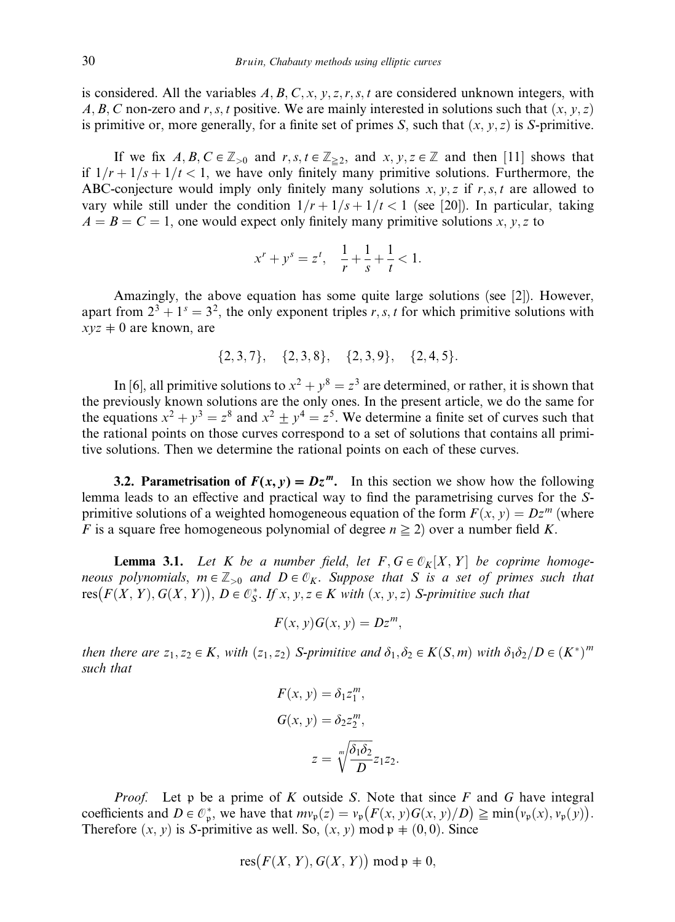is considered. All the variables  $A, B, C, x, y, z, r, s, t$  are considered unknown integers, with A, B, C non-zero and r, s, t positive. We are mainly interested in solutions such that  $(x, y, z)$ is primitive or, more generally, for a finite set of primes S, such that  $(x, y, z)$  is S-primitive.

If we fix  $A, B, C \in \mathbb{Z}_{>0}$  and  $r, s, t \in \mathbb{Z}_{\geq 2}$ , and  $x, y, z \in \mathbb{Z}$  and then [11] shows that if  $1/r + 1/s + 1/t < 1$ , we have only finitely many primitive solutions. Furthermore, the ABC-conjecture would imply only finitely many solutions  $x, y, z$  if  $r, s, t$  are allowed to vary while still under the condition  $1/r + 1/s + 1/t < 1$  (see [20]). In particular, taking  $A = B = C = 1$ , one would expect only finitely many primitive solutions x, y, z to

$$
x^r + y^s = z^t, \quad \frac{1}{r} + \frac{1}{s} + \frac{1}{t} < 1.
$$

Amazingly, the above equation has some quite large solutions (see [2]). However, apart from  $2^3 + 1^s = 3^2$ , the only exponent triples r, s, t for which primitive solutions with  $xyz \neq 0$  are known, are

$$
\{2,3,7\}, \{2,3,8\}, \{2,3,9\}, \{2,4,5\}.
$$

In [6], all primitive solutions to  $x^2 + y^8 = z^3$  are determined, or rather, it is shown that the previously known solutions are the only ones. In the present article, we do the same for the equations  $x^2 + y^3 = z^8$  and  $x^2 \pm y^4 = z^5$ . We determine a finite set of curves such that the rational points on those curves correspond to a set of solutions that contains all primitive solutions. Then we determine the rational points on each of these curves.

3.2. Parametrisation of  $F(x, y) = Dz^m$ . In this section we show how the following lemma leads to an effective and practical way to find the parametrising curves for the Sprimitive solutions of a weighted homogeneous equation of the form  $F(x, y) = Dz^m$  (where F is a square free homogeneous polynomial of degree  $n \geq 2$ ) over a number field K.

**Lemma 3.1.** Let K be a number field, let  $F, G \in \mathcal{O}_K[X, Y]$  be coprime homogeneous polynomials,  $m \in \mathbb{Z}_{>0}$  and  $D \in \mathcal{O}_K$ . Suppose that S is a set of primes such that resus porynomalis,  $m \in \mathbb{Z}_{\geq 0}$  and  $D \subset \mathfrak{c}_K$ . Suppose that S is a set of prime.<br>res $(F(X, Y), G(X, Y)), D \in \mathcal{C}_S^*$ . If  $x, y, z \in K$  with  $(x, y, z)$  S-primitive such that

$$
F(x, y)G(x, y) = Dz^m,
$$

then there are  $z_1, z_2 \in K$ , with  $(z_1, z_2)$  S-primitive and  $\delta_1, \delta_2 \in K(S,m)$  with  $\delta_1 \delta_2/D \in (K^*)^m$ such that

$$
F(x, y) = \delta_1 z_1^m,
$$
  
\n
$$
G(x, y) = \delta_2 z_2^m,
$$
  
\n
$$
z = \sqrt[m]{\frac{\delta_1 \delta_2}{D}} z_1 z_2.
$$

*Proof.* Let p be a prime of K outside S. Note that since  $F$  and  $G$  have integral coefficients and  $D \in \mathcal{O}_p^*$ , we have that  $mv_p(z) = v_p(F(x, y)G(x, y)/D) \ge \min(v_p(x), v_p(y)).$ Therefore  $(x, y)$  is S-primitive as well. So,  $(x, y)$  mod  $p \neq (0, 0)$ . Since

$$
res(F(X, Y), G(X, Y)) \bmod \mathfrak{p} \neq 0,
$$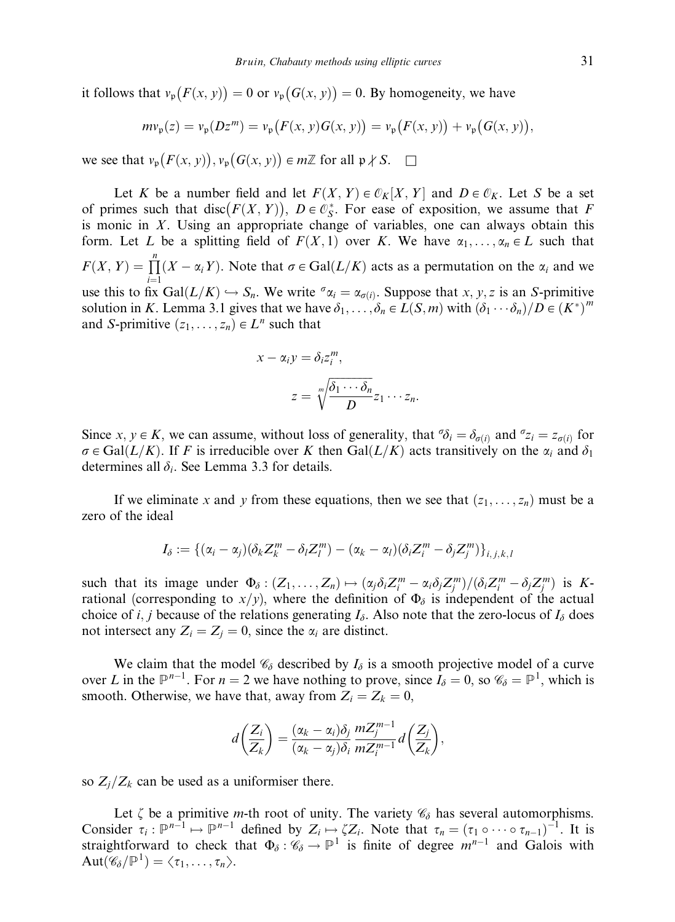it follows that  $v_{\mathfrak{p}}(F(x, y)) = 0$  or  $v_{\mathfrak{p}}(G(x, y)) = 0$ . By homogeneity, we have

$$
mv_{\mathfrak{p}}(z) = v_{\mathfrak{p}}(Dz^m) = v_{\mathfrak{p}}(F(x, y)G(x, y)) = v_{\mathfrak{p}}(F(x, y)) + v_{\mathfrak{p}}(G(x, y)),
$$

we see that  $v_{\mathfrak{p}}(F(x, y)), v_{\mathfrak{p}}(G(x, y)) \in m\mathbb{Z}$  for all  $\mathfrak{p} \nmid S$ .  $\Box$ 

Let K be a number field and let  $F(X, Y) \in \mathcal{O}_K[X, Y]$  and  $D \in \mathcal{O}_K$ . Let S be a set of primes such that disc( $F(X, Y)$ ),  $D \in \mathcal{O}_S^*$ . For ease of exposition, we assume that F is monic in  $X$ . Using an appropriate change of variables, one can always obtain this form. Let L be a splitting field of  $F(X, 1)$  over K. We have  $\alpha_1, \ldots, \alpha_n \in L$  such that  $F(X, Y) = \prod_{i=1}^{n} (X - \alpha_i Y)$ . Note that  $\sigma \in \text{Gal}(L/K)$  acts as a permutation on the  $\alpha_i$  and we use this to fix  $Gal(L/K) \hookrightarrow S_n$ . We write  ${}^{\sigma}\alpha_i = \alpha_{\sigma(i)}$ . Suppose that x, y, z is an S-primitive solution in K. Lemma 3.1 gives that we have  $\delta_1, \ldots, \delta_n \in L(S,m)$  with  $(\delta_1 \cdots \delta_n)/D \in (K^*)^m$ and S-primitive  $(z_1, \ldots, z_n) \in L^n$  such that

$$
x - \alpha_i y = \delta_i z_i^m,
$$
  

$$
z = \sqrt[m]{\frac{\delta_1 \cdots \delta_n}{D}} z_1 \cdots z_n.
$$

Since  $x, y \in K$ , we can assume, without loss of generality, that  $\sigma \delta_i = \delta_{\sigma(i)}$  and  $\sigma z_i = z_{\sigma(i)}$  for  $\sigma \in \text{Gal}(L/K)$ . If F is irreducible over K then  $\text{Gal}(L/K)$  acts transitively on the  $\alpha_i$  and  $\delta_1$ determines all  $\delta_i$ . See Lemma 3.3 for details.

If we eliminate x and y from these equations, then we see that  $(z_1, \ldots, z_n)$  must be a zero of the ideal

$$
I_{\delta} := \{(\alpha_i - \alpha_j)(\delta_k Z_k^m - \delta_l Z_l^m) - (\alpha_k - \alpha_l)(\delta_i Z_i^m - \delta_j Z_j^m)\}_{i,j,k,l}
$$

such that its image under  $\Phi_{\delta} : (Z_1, \ldots, Z_n) \mapsto (\alpha_j \delta_i Z_i^m - \alpha_i \delta_j Z_j^m) / (\delta_i Z_i^m - \delta_j Z_j^m)$  is Krational (corresponding to  $x/y$ ), where the definition of  $\Phi_{\delta}$  is independent of the actual choice of i, j because of the relations generating  $I_{\delta}$ . Also note that the zero-locus of  $I_{\delta}$  does not intersect any  $Z_i = Z_j = 0$ , since the  $\alpha_i$  are distinct.

We claim that the model  $\mathcal{C}_{\delta}$  described by  $I_{\delta}$  is a smooth projective model of a curve over L in the  $\mathbb{P}^{n-1}$ . For  $n = 2$  we have nothing to prove, since  $I_{\delta} = 0$ , so  $\mathscr{C}_{\delta} = \mathbb{P}^{1}$ , which is smooth. Otherwise, we have that, away from  $Z_i = Z_k = 0$ ,

$$
d\left(\frac{Z_i}{Z_k}\right) = \frac{(\alpha_k - \alpha_i)\delta_j}{(\alpha_k - \alpha_j)\delta_i} \frac{mZ_j^{m-1}}{mZ_i^{m-1}}d\left(\frac{Z_j}{Z_k}\right),
$$

so  $Z_i/Z_k$  can be used as a uniformiser there.

Let  $\zeta$  be a primitive *m*-th root of unity. The variety  $\mathcal{C}_{\delta}$  has several automorphisms. Consider  $\tau_i : \mathbb{P}^{n-1} \mapsto \mathbb{P}^{n-1}$  defined by  $Z_i \mapsto \zeta Z_i$ . Note that  $\tau_n = (\tau_1 \circ \cdots \circ \tau_{n-1})^{-1}$ . It is straightforward to check that  $\Phi_{\delta} : \mathscr{C}_{\delta} \to \mathbb{P}^1$  is finite of degree  $m^{n-1}$  and Galois with  $Aut(\mathscr{C}_{\delta}/\mathbb{P}^{1}) = \langle \tau_{1}, \ldots, \tau_{n} \rangle.$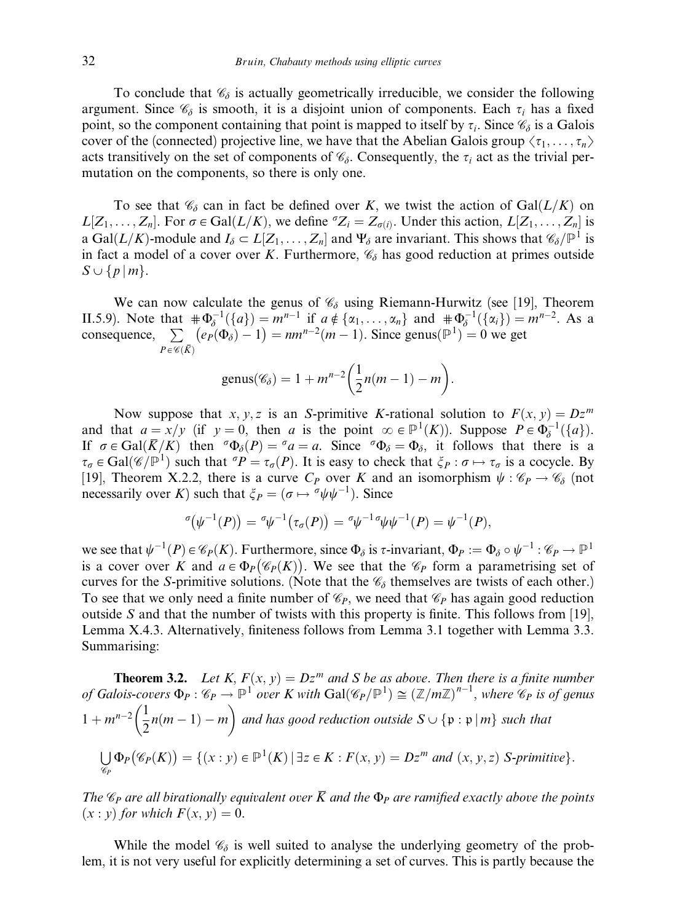To conclude that  $\mathcal{C}_{\delta}$  is actually geometrically irreducible, we consider the following argument. Since  $\mathcal{C}_{\delta}$  is smooth, it is a disjoint union of components. Each  $\tau_i$  has a fixed point, so the component containing that point is mapped to itself by  $\tau_i$ . Since  $\mathcal{C}_{\delta}$  is a Galois cover of the (connected) projective line, we have that the Abelian Galois group  $\langle \tau_1, \ldots, \tau_n \rangle$ acts transitively on the set of components of  $\mathcal{C}_{\delta}$ . Consequently, the  $\tau_i$  act as the trivial permutation on the components, so there is only one.

To see that  $\mathcal{C}_{\delta}$  can in fact be defined over K, we twist the action of Gal $(L/K)$  on  $L[Z_1,\ldots,Z_n]$ . For  $\sigma \in \text{Gal}(L/K)$ , we define  ${}^{\sigma}Z_i = Z_{\sigma(i)}$ . Under this action,  $L[Z_1,\ldots,Z_n]$  is a Gal $(L/K)$ -module and  $I_\delta \subset L[Z_1, \ldots, Z_n]$  and  $\Psi_\delta$  are invariant. This shows that  $\mathcal{C}_\delta/\mathbb{P}^1$  is in fact a model of a cover over K. Furthermore,  $\mathcal{C}_{\delta}$  has good reduction at primes outside  $S \cup \{p | m\}.$ 

We can now calculate the genus of  $\mathcal{C}_{\delta}$  using Riemann-Hurwitz (see [19], Theorem II.5.9). Note that  $\#\Phi_{\delta}^{-1}(\{a\}) = m^{n-1}$  if  $a \notin \{\alpha_1, \dots, \alpha_n\}$  and  $\#\Phi_{\delta}^{-1}(\{\alpha_i\}) = m^{n-2}$ . As a consequence,  $\Sigma$  $P \in \mathscr{C}(K)$ ePðFdÞ 1 - ¼ nm<sup>n</sup><sup>2</sup>ðm 1Þ. Since genusðP<sup>1</sup> Þ ¼ 0 we get

$$
genus(\mathscr{C}_\delta)=1+m^{n-2}\bigg(\frac{1}{2}n(m-1)-m\bigg).
$$

Now suppose that x, y, z is an S-primitive K-rational solution to  $F(x, y) = Dz^m$ and that  $a = x/y$  (if  $y = 0$ , then a is the point  $\infty \in \mathbb{P}^1(K)$ ). Suppose  $P \in \Phi_{\delta}^{-1}(\{a\})$ . If  $\sigma \in \text{Gal}(\overline{K}/K)$  then  $\sigma \Phi_{\delta}(P) = \sigma a = a$ . Since  $\sigma \Phi_{\delta} = \Phi_{\delta}$ , it follows that there is a  $\tau_{\sigma} \in \text{Gal}(\mathscr{C}/\mathbb{P}^1)$  such that  ${}^{\sigma}P = \tau_{\sigma}(P)$ . It is easy to check that  $\xi_P : \sigma \mapsto \tau_{\sigma}$  is a cocycle. By [19], Theorem X.2.2, there is a curve  $C_P$  over K and an isomorphism  $\psi : \mathscr{C}_P \to \mathscr{C}_\delta$  (not necessarily over K) such that  $\xi_P = (\sigma \mapsto \sigma \psi \psi^{-1})$ . Since

$$
{}^{\sigma}(\psi^{-1}(P))={}^{\sigma}\psi^{-1}(\tau_{\sigma}(P))={}^{\sigma}\psi^{-1}{}^{\sigma}\psi\psi^{-1}(P)=\psi^{-1}(P),
$$

we see that  $\psi^{-1}(P) \in \mathscr{C}_P(K)$ . Furthermore, since  $\Phi_\delta$  is  $\tau$ -invariant,  $\Phi_P := \Phi_\delta \circ \psi^{-1} : \mathscr{C}_P \to \mathbb{P}^1$ is a cover over K and  $a \in \Phi_P(\mathscr{C}_P(K))$ . We see that the  $\mathscr{C}_P$  form a parametrising set of curves for the S-primitive solutions. (Note that the  $\mathcal{C}_{\delta}$  themselves are twists of each other.) To see that we only need a finite number of  $\mathcal{C}_P$ , we need that  $\mathcal{C}_P$  has again good reduction outside  $S$  and that the number of twists with this property is finite. This follows from [19], Lemma X.4.3. Alternatively, finiteness follows from Lemma 3.1 together with Lemma 3.3. Summarising:

**Theorem 3.2.** Let 
$$
K
$$
,  $F(x, y) = Dz^m$  and  $S$  be as above. Then there is a finite number  
of Galois-covers  $\Phi_P : \mathcal{C}_P \to \mathbb{P}^1$  over  $K$  with  $Gal(\mathcal{C}_P/\mathbb{P}^1) \cong (\mathbb{Z}/m\mathbb{Z})^{n-1}$ , where  $\mathcal{C}_P$  is of genus  
 $1 + m^{n-2} \left(\frac{1}{2}n(m-1) - m\right)$  and has good reduction outside  $S \cup \{\mathfrak{p} : \mathfrak{p} | m\}$  such that  

$$
\bigcup_{\mathcal{C}_P} \Phi_P(\mathcal{C}_P(K)) = \{(x : y) \in \mathbb{P}^1(K) | \exists z \in K : F(x, y) = Dz^m \text{ and } (x, y, z) \text{ S-primitive}\}.
$$

The  $\mathscr{C}_P$  are all birationally equivalent over  $\overline{K}$  and the  $\Phi_P$  are ramified exactly above the points  $(x : y)$  for which  $F(x, y) = 0$ .

While the model  $\mathcal{C}_{\delta}$  is well suited to analyse the underlying geometry of the problem, it is not very useful for explicitly determining a set of curves. This is partly because the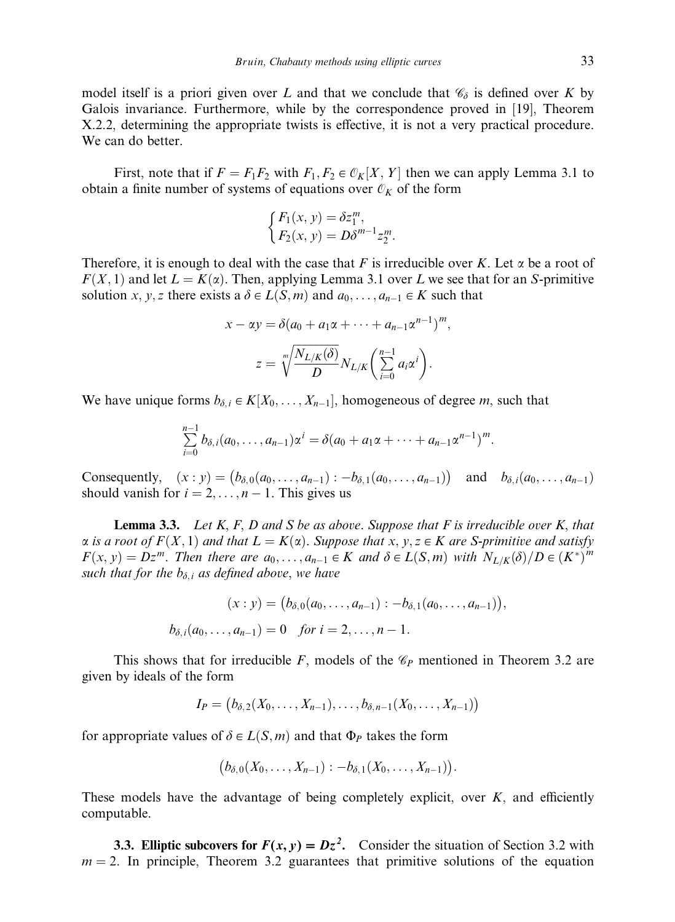model itself is a priori given over L and that we conclude that  $\mathcal{C}_{\delta}$  is defined over K by Galois invariance. Furthermore, while by the correspondence proved in [19], Theorem X.2.2, determining the appropriate twists is effective, it is not a very practical procedure. We can do better.

First, note that if  $F = F_1F_2$  with  $F_1, F_2 \in \mathcal{O}_K[X, Y]$  then we can apply Lemma 3.1 to obtain a finite number of systems of equations over  $\mathcal{O}_K$  of the form

$$
\begin{cases} F_1(x, y) = \delta z_1^m, \\ F_2(x, y) = D\delta^{m-1} z_2^m. \end{cases}
$$

Therefore, it is enough to deal with the case that F is irreducible over K. Let  $\alpha$  be a root of  $F(X, 1)$  and let  $L = K(\alpha)$ . Then, applying Lemma 3.1 over L we see that for an S-primitive solution x, y, z there exists a  $\delta \in L(S,m)$  and  $a_0, \ldots, a_{n-1} \in K$  such that

$$
x - \alpha y = \delta(a_0 + a_1\alpha + \dots + a_{n-1}\alpha^{n-1})^m,
$$
  

$$
z = \sqrt[m]{\frac{N_{L/K}(\delta)}{D}} N_{L/K} \left(\sum_{i=0}^{n-1} a_i\alpha^i\right).
$$

We have unique forms  $b_{\delta,i} \in K[X_0, \ldots, X_{n-1}]$ , homogeneous of degree m, such that

$$
\sum_{i=0}^{n-1} b_{\delta,i}(a_0,\ldots,a_{n-1})\alpha^i = \delta(a_0 + a_1\alpha + \cdots + a_{n-1}\alpha^{n-1})^m.
$$

Consequently,  $(x : y) = (b_{\delta,0}(a_0, \ldots, a_{n-1}) : -b_{\delta,1}(a_0, \ldots, a_{n-1}))$  and  $b_{\delta,i}(a_0, \ldots, a_{n-1})$ should vanish for  $i = 2, \ldots, n - 1$ . This gives us

**Lemma 3.3.** Let  $K, F, D$  and  $S$  be as above. Suppose that  $F$  is irreducible over  $K$ , that  $\alpha$  is a root of  $F(X, 1)$  and that  $L = K(\alpha)$ . Suppose that  $x, y, z \in K$  are S-primitive and satisfy  $F(x, y) = Dz^m$ . Then there are  $a_0, \ldots, a_{n-1} \in K$  and  $\delta \in L(S,m)$  with  $N_{L/K}(\delta)/D \in (K^*)^m$ such that for the  $b_{\delta,i}$  as defined above, we have

$$
(x:y) = (b_{\delta,0}(a_0,\ldots,a_{n-1}): -b_{\delta,1}(a_0,\ldots,a_{n-1})),
$$
  

$$
b_{\delta,i}(a_0,\ldots,a_{n-1}) = 0 \text{ for } i = 2,\ldots,n-1.
$$

This shows that for irreducible F, models of the  $\mathcal{C}_P$  mentioned in Theorem 3.2 are given by ideals of the form

$$
I_P = (b_{\delta,2}(X_0,\ldots,X_{n-1}),\ldots,b_{\delta,n-1}(X_0,\ldots,X_{n-1}))
$$

for appropriate values of  $\delta \in L(S,m)$  and that  $\Phi_P$  takes the form

$$
(b_{\delta,0}(X_0,\ldots,X_{n-1}):-b_{\delta,1}(X_0,\ldots,X_{n-1})).
$$

These models have the advantage of being completely explicit, over  $K$ , and efficiently computable.

3.3. Elliptic subcovers for  $F(x, y) = Dz^2$ . Consider the situation of Section 3.2 with  $m = 2$ . In principle, Theorem 3.2 guarantees that primitive solutions of the equation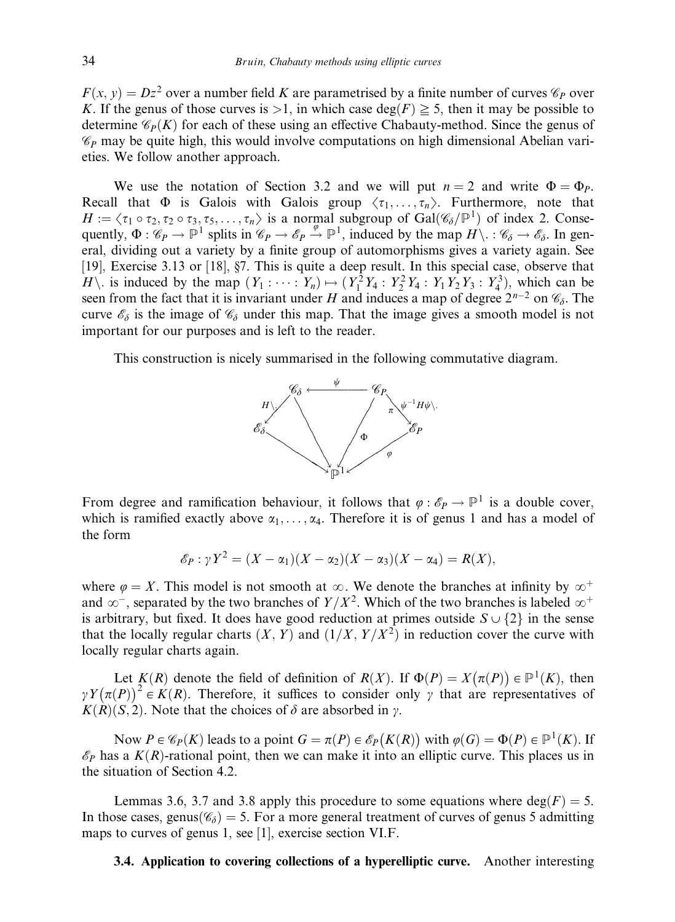$F(x, y) = Dz<sup>2</sup>$  over a number field K are parametrised by a finite number of curves  $\mathscr{C}_P$  over K. If the genus of those curves is  $>1$ , in which case deg(F)  $\geq 5$ , then it may be possible to determine  $\mathcal{C}_P(K)$  for each of these using an effective Chabauty-method. Since the genus of  $\mathscr{C}_P$  may be quite high, this would involve computations on high dimensional Abelian varieties. We follow another approach.

We use the notation of Section 3.2 and we will put  $n = 2$  and write  $\Phi = \Phi_P$ . Recall that  $\Phi$  is Galois with Galois group  $\langle \tau_1, \ldots, \tau_n \rangle$ . Furthermore, note that  $H := \langle \tau_1 \circ \tau_2, \tau_2 \circ \tau_3, \tau_5, \ldots, \tau_n \rangle$  is a normal subgroup of  $Gal(\mathscr{C}_{\delta}/\mathbb{P}^1)$  of index 2. Consequently,  $\Phi : \mathscr{C}_P \to \mathbb{P}^1$  splits in  $\mathscr{C}_P \to \mathscr{C}_P \stackrel{\varphi}{\to} \mathbb{P}^1$ , induced by the map  $H \setminus : \mathscr{C}_\delta \to \mathscr{E}_\delta$ . In general, dividing out a variety by a finite group of automorphisms gives a variety again. See [19], Exercise 3.13 or [18], §7. This is quite a deep result. In this special case, observe that H\. is induced by the map  $(Y_1 : \cdots : Y_n) \mapsto (Y_1^2 Y_4 : Y_2^2 Y_4 : Y_1 Y_2 Y_3 : Y_4^3)$ , which can be seen from the fact that it is invariant under H and induces a map of degree  $2^{n-2}$  on  $\mathcal{C}_{\delta}$ . The curve  $\mathscr{E}_{\delta}$  is the image of  $\mathscr{C}_{\delta}$  under this map. That the image gives a smooth model is not important for our purposes and is left to the reader.

This construction is nicely summarised in the following commutative diagram.



From degree and ramification behaviour, it follows that  $\varphi : \mathscr{E}_P \to \mathbb{P}^1$  is a double cover, which is ramified exactly above  $\alpha_1, \ldots, \alpha_4$ . Therefore it is of genus 1 and has a model of the form

$$
\mathscr{E}_P: \gamma Y^2 = (X - \alpha_1)(X - \alpha_2)(X - \alpha_3)(X - \alpha_4) = R(X),
$$

where  $\varphi = X$ . This model is not smooth at  $\infty$ . We denote the branches at infinity by  $\infty^+$ and  $\infty^-$ , separated by the two branches of  $Y/X^2$ . Which of the two branches is labeled  $\infty^+$ is arbitrary, but fixed. It does have good reduction at primes outside  $S \cup \{2\}$  in the sense that the locally regular charts  $(X, Y)$  and  $(1/X, Y/X^2)$  in reduction cover the curve with locally regular charts again.

Let  $K(R)$  denote the field of definition of  $R(X)$ . If  $\Phi(P) = X(\pi(P)) \in \mathbb{P}^1(K)$ , then  $\gamma Y(\pi(P))^2 \in K(R)$ . Therefore, it suffices to consider only  $\gamma$  that are representatives of  $K(R)(S, 2)$ . Note that the choices of  $\delta$  are absorbed in  $\gamma$ .

Now  $P \in \mathcal{C}_P(K)$  leads to a point  $G = \pi(P) \in \mathcal{C}_P(K(R))$  with  $\varphi(G) = \Phi(P) \in \mathbb{P}^1(K)$ . If  $\mathscr{E}_P$  has a  $K(R)$ -rational point, then we can make it into an elliptic curve. This places us in the situation of Section 4.2.

Lemmas 3.6, 3.7 and 3.8 apply this procedure to some equations where  $deg(F) = 5$ . In those cases, genus $(\mathscr{C}_{\delta}) = 5$ . For a more general treatment of curves of genus 5 admitting maps to curves of genus 1, see [1], exercise section VI.F.

# 3.4. Application to covering collections of a hyperelliptic curve. Another interesting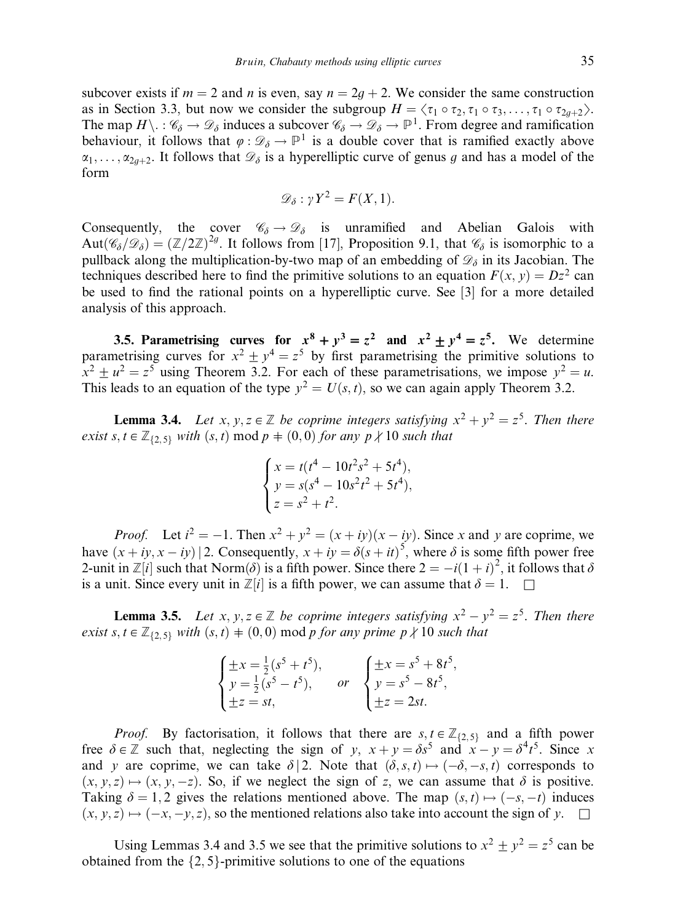subcover exists if  $m = 2$  and n is even, say  $n = 2q + 2$ . We consider the same construction as in Section 3.3, but now we consider the subgroup  $H = \langle \tau_1 \circ \tau_2, \tau_1 \circ \tau_3, \ldots, \tau_1 \circ \tau_{2g+2} \rangle$ . The map  $H\setminus \cdot : \mathscr{C}_\delta \to \mathscr{D}_\delta$  induces a subcover  $\mathscr{C}_\delta \to \mathscr{D}_\delta \to \mathbb{P}^1$ . From degree and ramification behaviour, it follows that  $\varphi : \mathcal{D}_\delta \to \mathbb{P}^1$  is a double cover that is ramified exactly above  $\alpha_1, \ldots, \alpha_{2q+2}$ . It follows that  $\mathcal{D}_\delta$  is a hyperelliptic curve of genus g and has a model of the form

$$
\mathscr{D}_{\delta} : \gamma Y^2 = F(X, 1).
$$

Consequently, the cover  $\mathscr{C}_{\delta} \to \mathscr{D}_{\delta}$  is unramified and Abelian Galois with  $Aut(\mathscr{C}_{\delta}/\mathscr{D}_{\delta}) = (\mathbb{Z}/2\mathbb{Z})^{2g}$ . It follows from [17], Proposition 9.1, that  $\mathscr{C}_{\delta}$  is isomorphic to a pullback along the multiplication-by-two map of an embedding of  $\mathcal{D}_\delta$  in its Jacobian. The techniques described here to find the primitive solutions to an equation  $F(x, y) = Dz^2$  can be used to find the rational points on a hyperelliptic curve. See [3] for a more detailed analysis of this approach.

3.5. Parametrising curves for  $x^8 + y^3 = z^2$  and  $x^2 + y^4 = z^5$ . We determine parametrising curves for  $x^2 \pm y^4 = z^5$  by first parametrising the primitive solutions to  $x^2 \pm u^2 = z^5$  using Theorem 3.2. For each of these parametrisations, we impose  $y^2 = u$ . This leads to an equation of the type  $y^2 = U(s, t)$ , so we can again apply Theorem 3.2.

**Lemma 3.4.** Let x, y,  $z \in \mathbb{Z}$  be coprime integers satisfying  $x^2 + y^2 = z^5$ . Then there exist s,  $t \in \mathbb{Z}_{\{2,5\}}$  with  $(s, t) \mod p = (0, 0)$  for any  $p \nmid 10$  such that

$$
\begin{cases}\nx = t(t^4 - 10t^2s^2 + 5t^4), \\
y = s(s^4 - 10s^2t^2 + 5t^4), \\
z = s^2 + t^2.\n\end{cases}
$$

*Proof.* Let  $i^2 = -1$ . Then  $x^2 + y^2 = (x + iy)(x - iy)$ . Since x and y are coprime, we have  $(x + iy, x - iy)$  2. Consequently,  $x + iy = \delta(s + it)^5$ , where  $\delta$  is some fifth power free 2-unit in  $\mathbb{Z}[i]$  such that Norm $(\delta)$  is a fifth power. Since there  $2 = -i(1+i)^2$ , it follows that  $\delta$ is a unit. Since every unit in  $\mathbb{Z}[i]$  is a fifth power, we can assume that  $\delta = 1$ .

**Lemma 3.5.** Let x, y,  $z \in \mathbb{Z}$  be coprime integers satisfying  $x^2 - y^2 = z^5$ . Then there exist s,  $t \in \mathbb{Z}_{\{2,5\}}$  with  $(s, t) \neq (0, 0)$  mod p for any prime p  $\nmid 10$  such that

| $\begin{cases} \pm x = \frac{1}{2}(s^5 + t^5), \\ y = \frac{1}{2}(s^5 - t^5), \end{cases}$<br>$\pm z = st,$ | or | $\int \pm x = s^5 + 8t^5,$<br>$\left\{ y = s^5 - 8t^5, \right.$<br>$\pm z = 2st$ . |
|-------------------------------------------------------------------------------------------------------------|----|------------------------------------------------------------------------------------|
|-------------------------------------------------------------------------------------------------------------|----|------------------------------------------------------------------------------------|

*Proof.* By factorisation, it follows that there are  $s, t \in \mathbb{Z}_{\{2,5\}}$  and a fifth power free  $\delta \in \mathbb{Z}$  such that, neglecting the sign of y,  $x + y = \delta s^5$  and  $x - y = \delta^4 t^5$ . Since x and y are coprime, we can take  $\delta$  2. Note that  $(\delta, s, t) \mapsto (-\delta, -s, t)$  corresponds to  $(x, y, z) \mapsto (x, y, -z)$ . So, if we neglect the sign of z, we can assume that  $\delta$  is positive. Taking  $\delta = 1, 2$  gives the relations mentioned above. The map  $(s, t) \mapsto (-s, -t)$  induces  $(x, y, z) \mapsto (-x, -y, z)$ , so the mentioned relations also take into account the sign of y.  $\square$ 

Using Lemmas 3.4 and 3.5 we see that the primitive solutions to  $x^2 \pm y^2 = z^5$  can be obtained from the  $\{2, 5\}$ -primitive solutions to one of the equations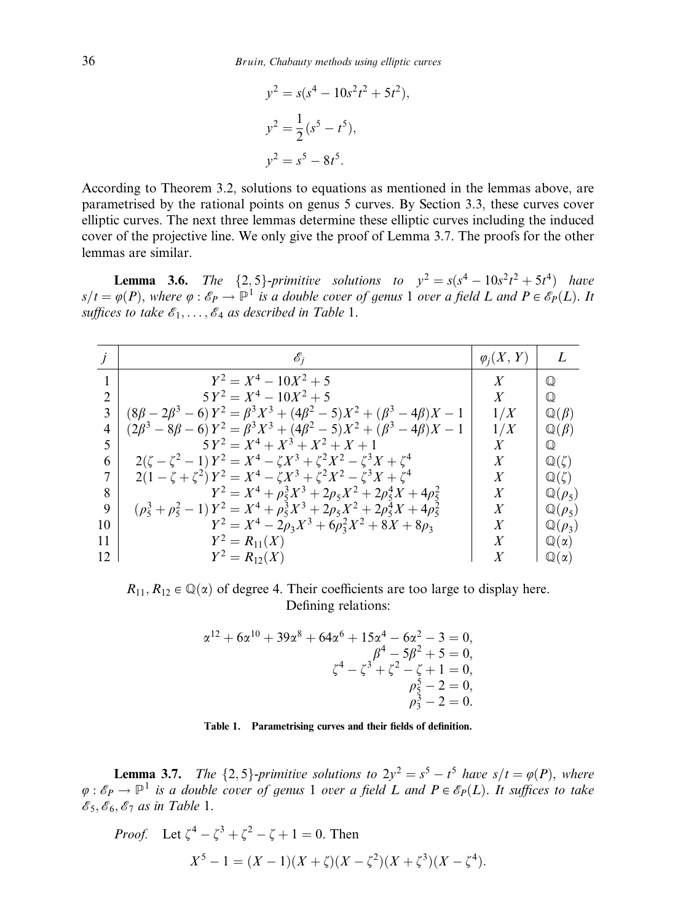$$
y2 = s(s4 - 10s2t2 + 5t2),
$$
  
\n
$$
y2 = \frac{1}{2}(s5 - t5),
$$
  
\n
$$
y2 = s5 - 8t5.
$$

According to Theorem 3.2, solutions to equations as mentioned in the lemmas above, are parametrised by the rational points on genus 5 curves. By Section 3.3, these curves cover elliptic curves. The next three lemmas determine these elliptic curves including the induced cover of the projective line. We only give the proof of Lemma 3.7. The proofs for the other lemmas are similar.

**Lemma 3.6.** The  $\{2, 5\}$ -primitive solutions to  $y^2 = s(s^4 - 10s^2t^2 + 5t^4)$  have  $s/t = \varphi(P)$ , where  $\varphi : \mathscr{E}_P \to \mathbb{P}^1$  is a double cover of genus 1 over a field L and  $P \in \mathscr{E}_P(L)$ . It suffices to take  $\mathscr{E}_1, \ldots, \mathscr{E}_4$  as described in Table 1.

|    | $\mathcal{C}_1$                                                                           | $\varphi_i(X, Y)$ |                      |
|----|-------------------------------------------------------------------------------------------|-------------------|----------------------|
|    | $Y^2 = X^4 - 10X^2 + 5$                                                                   | $\boldsymbol{X}$  | $\mathbb{O}$         |
|    | $5Y^2 = X^4 - 10X^2 + 5$                                                                  | $\boldsymbol{X}$  | $\mathbb O$          |
|    | $(8\beta - 2\beta^3 - 6) Y^2 = \beta^3 X^3 + (4\beta^2 - 5)X^2 + (\beta^3 - 4\beta)X - 1$ | 1/X               | $\mathbb{Q}(\beta)$  |
| 4  | $(2\beta^3 - 8\beta - 6)Y^2 = \beta^3X^3 + (4\beta^2 - 5)X^2 + (\beta^3 - 4\beta)X - 1$   | 1/X               | $\mathbb{Q}(\beta)$  |
| 5  | $5Y^2 = X^4 + X^3 + X^2 + X + 1$                                                          | $\boldsymbol{X}$  | $\mathbb Q$          |
| 6  | $2(\zeta - \zeta^2 - 1)Y^2 = X^4 - \zeta X^3 + \zeta^2 X^2 - \zeta^3 X + \zeta^4$         | X                 | $\mathbb{Q}(\zeta)$  |
|    | $2(1 - \zeta + \zeta^2)Y^2 = X^4 - \zeta X^3 + \zeta^2 X^2 - \zeta^3 X + \zeta^4$         | X                 | $\mathbb{Q}(\zeta)$  |
| 8  | $Y^2 = X^4 + \rho_5^3 X^3 + 2\rho_5 X^2 + 2\rho_5^4 X + 4\rho_5^2$                        | $\boldsymbol{X}$  | $\mathbb{Q}(\rho_5)$ |
| 9  | $(\rho_5^3 + \rho_5^2 - 1)Y^2 = X^4 + \rho_5^3X^3 + 2\rho_5X^2 + 2\rho_5^4X + 4\rho_5^2$  | X                 | $\mathbb{Q}(\rho_5)$ |
| 10 | $Y^2 = X^4 - 2\rho_3 X^3 + 6\rho_3^2 X^2 + 8X + 8\rho_3$                                  | Χ                 | $\mathbb{Q}(\rho_3)$ |
| 11 | $Y^2 = R_{11}(X)$                                                                         | X                 | $\mathbb{Q}(\alpha)$ |
| 12 | $Y^2 = R_{12}(X)$                                                                         | X                 | $\mathbb{Q}(\alpha)$ |

 $R_{11}, R_{12} \in \mathbb{Q}(\alpha)$  of degree 4. Their coefficients are too large to display here. Defining relations:

$$
\alpha^{12} + 6\alpha^{10} + 39\alpha^8 + 64\alpha^6 + 15\alpha^4 - 6\alpha^2 - 3 = 0,
$$
  

$$
\beta^4 - 5\beta^2 + 5 = 0,
$$
  

$$
\zeta^4 - \zeta^3 + \zeta^2 - \zeta + 1 = 0,
$$
  

$$
\rho_5^5 - 2 = 0,
$$
  

$$
\rho_3^5 - 2 = 0.
$$

#### Table 1. Parametrising curves and their fields of definition.

**Lemma 3.7.** The  $\{2, 5\}$ -primitive solutions to  $2y^2 = s^5 - t^5$  have  $s/t = \varphi(P)$ , where  $\varphi : \mathscr{E}_P \to \mathbb{P}^1$  is a double cover of genus 1 over a field L and  $P \in \mathscr{E}_P(L)$ . It suffices to take  $\mathscr{E}_5$ ,  $\mathscr{E}_6$ ,  $\mathscr{E}_7$  as in Table 1.

*Proof.* Let 
$$
\zeta^4 - \zeta^3 + \zeta^2 - \zeta + 1 = 0
$$
. Then  

$$
X^5 - 1 = (X - 1)(X + \zeta)(X - \zeta^2)(X + \zeta^3)(X - \zeta^4).
$$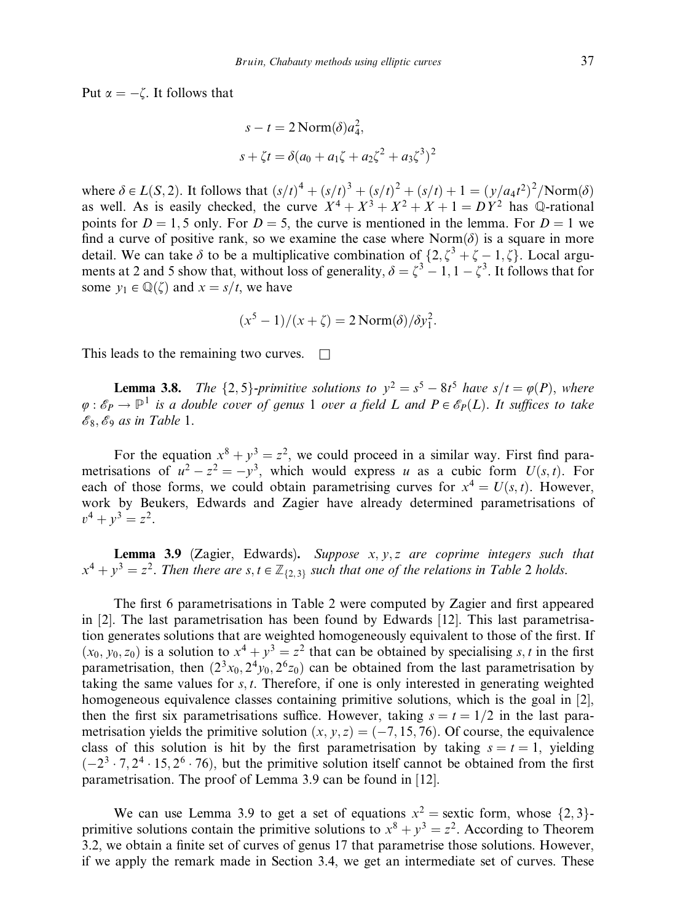Put  $\alpha = -\zeta$ . It follows that

$$
s - t = 2 \text{Norm}(\delta) a_4^2,
$$
  

$$
s + \zeta t = \delta (a_0 + a_1 \zeta + a_2 \zeta^2 + a_3 \zeta^3)^2
$$

where  $\delta \in L(S, 2)$ . It follows that  $(s/t)^4 + (s/t)^3 + (s/t)^2 + (s/t) + 1 = (y/a<sub>4</sub>t<sup>2</sup>)<sup>2</sup>/\text{Norm}(\delta)$ as well. As is easily checked, the curve  $X^4 + X^3 + X^2 + X + 1 = DY^2$  has  $\mathbb{Q}$ -rational points for  $D = 1$ , 5 only. For  $D = 5$ , the curve is mentioned in the lemma. For  $D = 1$  we find a curve of positive rank, so we examine the case where  $Norm(\delta)$  is a square in more detail. We can take  $\delta$  to be a multiplicative combination of  $\{2, \zeta^3 + \zeta - 1, \zeta\}$ . Local arguments at 2 and 5 show that, without loss of generality,  $\delta = \zeta^3 - 1, 1 - \zeta^3$ . It follows that for some  $y_1 \in \mathbb{Q}(\zeta)$  and  $x = s/t$ , we have

$$
(x5 - 1)/(x + \zeta) = 2 \text{Norm}(\delta) / \delta y_1^2.
$$

This leads to the remaining two curves.  $\Box$ 

**Lemma 3.8.** The  $\{2, 5\}$ -primitive solutions to  $y^2 = s^5 - 8t^5$  have  $s/t = \varphi(P)$ , where  $\varphi : \mathscr{E}_P \to \mathbb{P}^1$  is a double cover of genus 1 over a field L and  $P \in \mathscr{E}_P(L)$ . It suffices to take  $\mathscr{E}_8$ ,  $\mathscr{E}_9$  as in Table 1.

For the equation  $x^8 + y^3 = z^2$ , we could proceed in a similar way. First find parametrisations of  $u^2 - z^2 = -y^3$ , which would express u as a cubic form  $U(s, t)$ . For each of those forms, we could obtain parametrising curves for  $x^4 = U(s, t)$ . However, work by Beukers, Edwards and Zagier have already determined parametrisations of  $v^4 + v^3 = z^2$ .

**Lemma 3.9** (Zagier, Edwards). Suppose  $x, y, z$  are coprime integers such that  $x^4 + y^3 = z^2$ . Then there are s,  $t \in \mathbb{Z}_{\{2,3\}}$  such that one of the relations in Table 2 holds.

The first 6 parametrisations in Table 2 were computed by Zagier and first appeared in [2]. The last parametrisation has been found by Edwards [12]. This last parametrisation generates solutions that are weighted homogeneously equivalent to those of the first. If  $(x_0, y_0, z_0)$  is a solution to  $x^4 + y^3 = z^2$  that can be obtained by specialising s, t in the first parametrisation, then  $(2^{3}x_0, 2^{4}y_0, 2^{6}z_0)$  can be obtained from the last parametrisation by taking the same values for  $s, t$ . Therefore, if one is only interested in generating weighted homogeneous equivalence classes containing primitive solutions, which is the goal in [2], then the first six parametrisations suffice. However, taking  $s = t = 1/2$  in the last parametrisation yields the primitive solution  $(x, y, z) = (-7, 15, 76)$ . Of course, the equivalence class of this solution is hit by the first parametrisation by taking  $s = t = 1$ , yielding  $(-2^3 \cdot 7, 2^4 \cdot 15, 2^6 \cdot 76)$ , but the primitive solution itself cannot be obtained from the first parametrisation. The proof of Lemma 3.9 can be found in [12].

We can use Lemma 3.9 to get a set of equations  $x^2$  = sextic form, whose  $\{2, 3\}$ primitive solutions contain the primitive solutions to  $x^8 + y^3 = z^2$ . According to Theorem 3.2, we obtain a finite set of curves of genus 17 that parametrise those solutions. However, if we apply the remark made in Section 3.4, we get an intermediate set of curves. These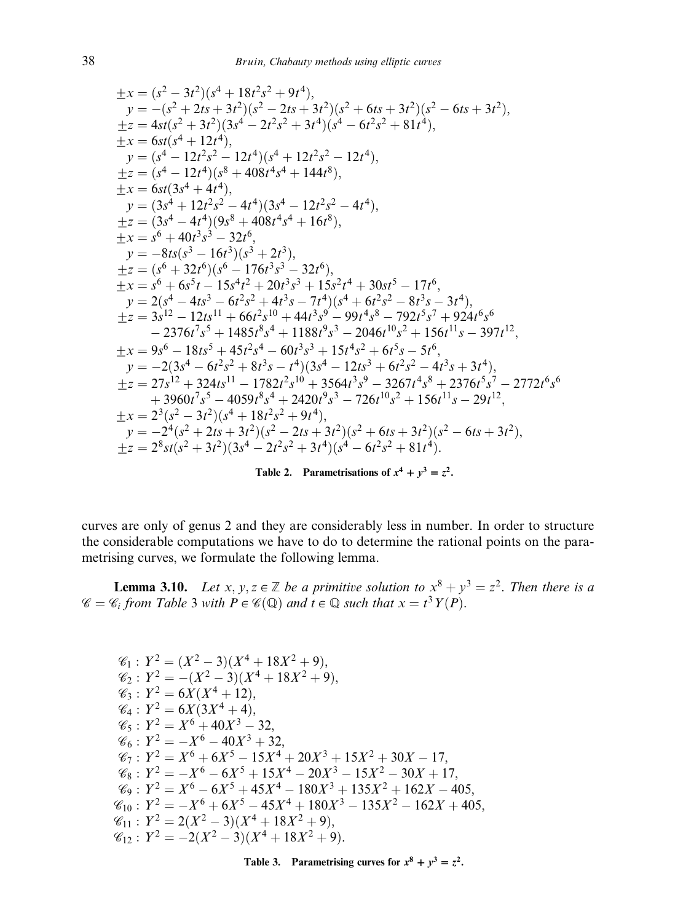$$
\pm x = (s^2 - 3t^2)(s^4 + 18t^2s^2 + 9t^4),
$$
\n
$$
y = -(s^2 + 2ts + 3t^2)(s^2 - 2ts + 3t^2)(s^2 + 6ts + 3t^2)(s^2 - 6ts + 3t^2),
$$
\n
$$
\pm z = 4st(s^2 + 3t^2)(3s^4 - 2t^2s^2 + 3t^4)(s^4 - 6t^2s^2 + 81t^4),
$$
\n
$$
\pm x = 6st(s^4 + 12t^4),
$$
\n
$$
y = (s^4 - 12t^2s^2 - 12t^4)(s^4 + 12t^2s^2 - 12t^4),
$$
\n
$$
\pm z = (s^4 - 12t^4)(s^8 + 408t^4s^4 + 144t^8),
$$
\n
$$
\pm x = 6st(3s^4 + 4t^4),
$$
\n
$$
y = (3s^4 + 12t^2s^2 - 4t^4)(3s^4 - 12t^2s^2 - 4t^4),
$$
\n
$$
\pm z = (3s^4 - 4t^4)(9s^8 + 408t^4s^4 + 16t^8),
$$
\n
$$
\pm x = s^6 + 40t^3s^3 - 32t^6,
$$
\n
$$
y = -8ts(s^3 - 16t^3)(s^3 + 2t^3),
$$
\n
$$
\pm z = (s^6 + 32t^6)(s^6 - 176t^3s^3 - 32t^6),
$$
\n
$$
\pm x = s^6 + 6s^5t - 15s^4t^2 + 20t^3s^3 + 15s^2t^4 + 30st^5 - 17t^6,
$$
\n
$$
y = 2(s^4 - 4ts^3 - 6t^2s^2 + 4t^3s - 7t^4)(s^4 + 6t^2s^2 - 8t^3s - 3t^4),
$$
\n
$$
\pm z = 3s^{12} - 12tsl^{11} + 66t^2sl^0 + 44t^3s^9 - 99t^4s^8 - 792t^5s^7 + 9
$$

Table 2. Parametrisations of  $x^4 + y^3 = z^2$ .

curves are only of genus 2 and they are considerably less in number. In order to structure the considerable computations we have to do to determine the rational points on the parametrising curves, we formulate the following lemma.

**Lemma 3.10.** Let  $x, y, z \in \mathbb{Z}$  be a primitive solution to  $x^8 + y^3 = z^2$ . Then there is a  $\mathscr{C} = \mathscr{C}_i$  from Table 3 with  $P \in \mathscr{C}(\mathbb{Q})$  and  $t \in \mathbb{Q}$  such that  $x = t^3 Y(P)$ .

$$
\mathcal{C}_1: Y^2 = (X^2 - 3)(X^4 + 18X^2 + 9),
$$
  
\n
$$
\mathcal{C}_2: Y^2 = -(X^2 - 3)(X^4 + 18X^2 + 9),
$$
  
\n
$$
\mathcal{C}_3: Y^2 = 6X(X^4 + 12),
$$
  
\n
$$
\mathcal{C}_4: Y^2 = 6X(3X^4 + 4),
$$
  
\n
$$
\mathcal{C}_5: Y^2 = X^6 + 40X^3 - 32,
$$
  
\n
$$
\mathcal{C}_6: Y^2 = -X^6 - 40X^3 + 32,
$$
  
\n
$$
\mathcal{C}_7: Y^2 = X^6 + 6X^5 - 15X^4 + 20X^3 + 15X^2 + 30X - 17,
$$
  
\n
$$
\mathcal{C}_8: Y^2 = -X^6 - 6X^5 + 15X^4 - 20X^3 - 15X^2 - 30X + 17,
$$
  
\n
$$
\mathcal{C}_9: Y^2 = X^6 - 6X^5 + 45X^4 - 180X^3 + 135X^2 + 162X - 405,
$$
  
\n
$$
\mathcal{C}_{10}: Y^2 = -X^6 + 6X^5 - 45X^4 + 180X^3 - 135X^2 - 162X + 405,
$$
  
\n
$$
\mathcal{C}_{11}: Y^2 = 2(X^2 - 3)(X^4 + 18X^2 + 9),
$$
  
\n
$$
\mathcal{C}_{12}: Y^2 = -2(X^2 - 3)(X^4 + 18X^2 + 9).
$$

Table 3. Parametrising curves for  $x^8 + y^3 = z^2$ .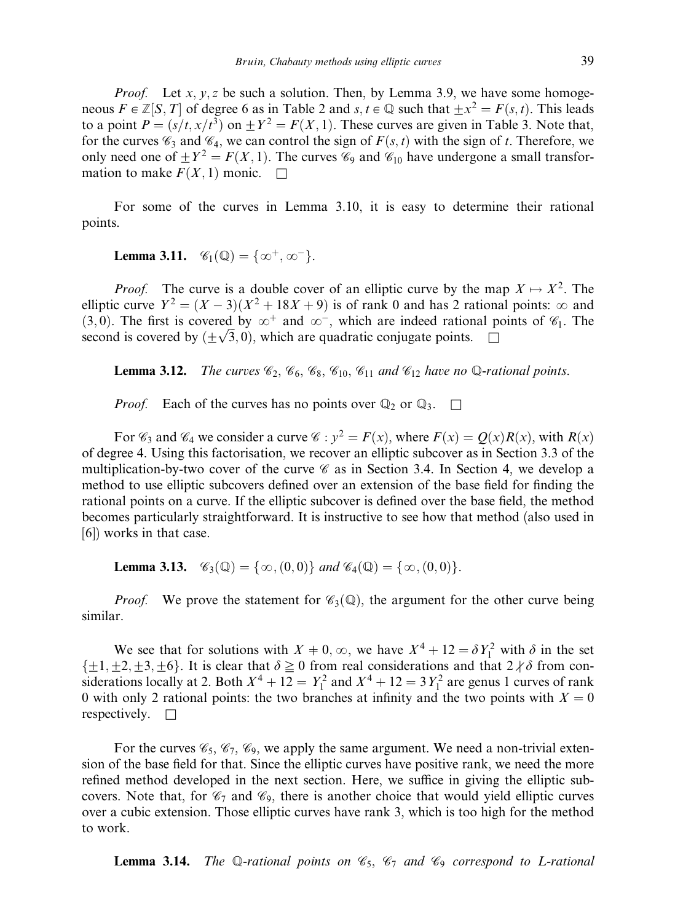*Proof.* Let x, y, z be such a solution. Then, by Lemma 3.9, we have some homogeneous  $F \in \mathbb{Z}[S,T]$  of degree 6 as in Table 2 and s;  $t \in \mathbb{Q}$  such that  $+x^2 = F(s, t)$ . This leads to a point  $P = (s/t, x/t^3)$  on  $\pm Y^2 = F(X, 1)$ . These curves are given in Table 3. Note that, for the curves  $\mathcal{C}_3$  and  $\mathcal{C}_4$ , we can control the sign of  $F(s, t)$  with the sign of t. Therefore, we only need one of  $\pm Y^2 = F(X, 1)$ . The curves  $\mathcal{C}_9$  and  $\mathcal{C}_{10}$  have undergone a small transformation to make  $F(X, 1)$  monic.  $\square$ 

For some of the curves in Lemma 3.10, it is easy to determine their rational points.

**Lemma 3.11.**  $\mathscr{C}_1(\mathbb{Q}) = {\infty^+, \infty^-}.$ 

*Proof.* The curve is a double cover of an elliptic curve by the map  $X \mapsto X^2$ . The elliptic curve  $Y^2 = (X - 3)(X^2 + 18X + 9)$  is of rank 0 and has 2 rational points:  $\infty$  and (3,0). The first is covered by  $\infty^+$  and  $\infty^-$ , which are indeed rational points of  $\mathcal{C}_1$ . The (5,0). The first is covered by  $\infty$  and  $\infty$ , which are indeed rational p second is covered by  $(\pm \sqrt{3}, 0)$ , which are quadratic conjugate points.

**Lemma 3.12.** The curves  $\mathcal{C}_2$ ,  $\mathcal{C}_6$ ,  $\mathcal{C}_8$ ,  $\mathcal{C}_{10}$ ,  $\mathcal{C}_{11}$  and  $\mathcal{C}_{12}$  have no Q-rational points.

*Proof.* Each of the curves has no points over  $\mathbb{Q}_2$  or  $\mathbb{Q}_3$ .  $\Box$ 

For  $\mathcal{C}_3$  and  $\mathcal{C}_4$  we consider a curve  $\mathcal{C}: y^2 = F(x)$ , where  $F(x) = Q(x)R(x)$ , with  $R(x)$ of degree 4. Using this factorisation, we recover an elliptic subcover as in Section 3.3 of the multiplication-by-two cover of the curve  $\mathscr C$  as in Section 3.4. In Section 4, we develop a method to use elliptic subcovers defined over an extension of the base field for finding the rational points on a curve. If the elliptic subcover is defined over the base field, the method becomes particularly straightforward. It is instructive to see how that method (also used in [6]) works in that case.

**Lemma 3.13.** 
$$
\mathscr{C}_3(\mathbb{Q}) = \{ \infty, (0,0) \}
$$
 and  $\mathscr{C}_4(\mathbb{Q}) = \{ \infty, (0,0) \}$ .

*Proof.* We prove the statement for  $\mathcal{C}_3(\mathbb{Q})$ , the argument for the other curve being similar.

We see that for solutions with  $X \neq 0, \infty$ , we have  $X^4 + 12 = \delta Y_1^2$  with  $\delta$  in the set  $\{\pm 1,\pm 2,\pm 3,\pm 6\}$ . It is clear that  $\delta \ge 0$  from real considerations and that  $2 \nmid \delta$  from considerations locally at 2. Both  $X^4 + 12 = Y_1^2$  and  $X^4 + 12 = 3Y_1^2$  are genus 1 curves of rank 0 with only 2 rational points: the two branches at infinity and the two points with  $X = 0$ respectively.  $\square$ 

For the curves  $\mathcal{C}_5$ ,  $\mathcal{C}_7$ ,  $\mathcal{C}_9$ , we apply the same argument. We need a non-trivial extension of the base field for that. Since the elliptic curves have positive rank, we need the more refined method developed in the next section. Here, we suffice in giving the elliptic subcovers. Note that, for  $\mathcal{C}_7$  and  $\mathcal{C}_9$ , there is another choice that would yield elliptic curves over a cubic extension. Those elliptic curves have rank 3, which is too high for the method to work.

**Lemma 3.14.** The Q-rational points on  $\mathcal{C}_5$ ,  $\mathcal{C}_7$  and  $\mathcal{C}_9$  correspond to L-rational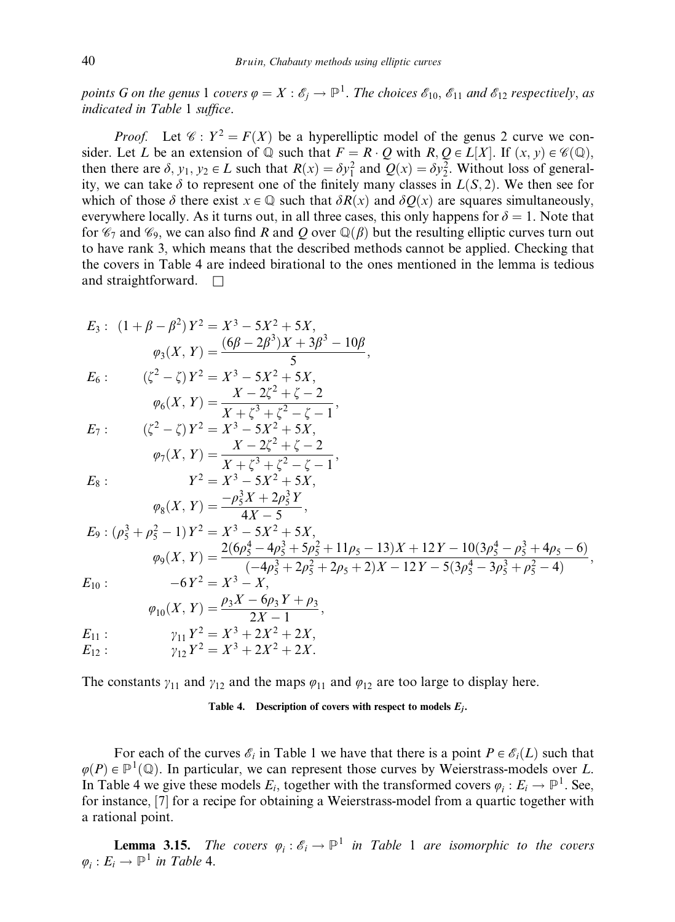points G on the genus 1 covers  $\varphi = X : \mathscr{E}_j \to \mathbb{P}^1$ . The choices  $\mathscr{E}_{10}$ ,  $\mathscr{E}_{11}$  and  $\mathscr{E}_{12}$  respectively, as indicated in Table 1 suffice.

*Proof.* Let  $\mathcal{C}: Y^2 = F(X)$  be a hyperelliptic model of the genus 2 curve we consider. Let L be an extension of  $\mathbb Q$  such that  $F = R \cdot Q$  with  $R, Q \in L[X]$ . If  $(x, y) \in \mathscr{C}(\mathbb Q)$ , then there are  $\delta$ ,  $y_1, y_2 \in L$  such that  $R(x) = \delta y_1^2$  and  $Q(x) = \delta y_2^2$ . Without loss of generality, we can take  $\delta$  to represent one of the finitely many classes in  $L(S, 2)$ . We then see for which of those  $\delta$  there exist  $x \in \mathbb{Q}$  such that  $\delta R(x)$  and  $\delta Q(x)$  are squares simultaneously, everywhere locally. As it turns out, in all three cases, this only happens for  $\delta = 1$ . Note that for  $\mathcal{C}_7$  and  $\mathcal{C}_9$ , we can also find R and Q over  $\mathbb{Q}(\beta)$  but the resulting elliptic curves turn out to have rank 3, which means that the described methods cannot be applied. Checking that the covers in Table 4 are indeed birational to the ones mentioned in the lemma is tedious and straightforward.  $\square$ 

$$
E_3: (1 + \beta - \beta^2) Y^2 = X^3 - 5X^2 + 5X,
$$
  
\n
$$
\varphi_3(X, Y) = \frac{(6\beta - 2\beta^3)X + 3\beta^3 - 10\beta}{5},
$$
  
\n
$$
E_6: ( \zeta^2 - \zeta) Y^2 = X^3 - 5X^2 + 5X,
$$

$$
\varphi_6(X, Y) = \frac{X - 2\zeta^2 + \zeta - 2}{X + \zeta^3 + \zeta^2 - \zeta - 1},
$$
  
\n
$$
E_7: (\zeta^2 - \zeta) Y^2 = X^3 - 5X^2 + 5X,
$$

$$
\varphi_7(X, Y) = \frac{X - 2\zeta^2 + \zeta - 2}{X + \zeta^3 + \zeta^2 - \zeta - 1},
$$
\n
$$
E_8: \qquad Y^2 = X^3 - 5X^2 + 5X,
$$
\n
$$
\varphi_8(X, Y) = \frac{-\rho_5^3 X + 2\rho_5^3 Y}{4X - 5},
$$
\n
$$
E_9: (\rho_5^3 + \rho_5^2 - 1)Y^2 = X^3 - 5X^2 + 5X,
$$
\n
$$
\varphi_9(X, Y) = \frac{2(6\rho_5^4 - 4\rho_5^3 + 5\rho_5^2 + 11\rho_5 - 13)X + 12Y - 10(3\rho_5^4 - \rho_5^3 + 4\rho_5 - 6)}{(-4\rho_5^3 + 2\rho_5^2 + 2\rho_5 + 2)X - 12Y - 5(3\rho_5^4 - 3\rho_5^3 + \rho_5^2 - 4)},
$$
\n
$$
E_{10}: \qquad -6Y^2 = X^3 - X,
$$
\n
$$
\varphi_{10}(X, Y) = \frac{\rho_3 X - 6\rho_3 Y + \rho_3}{2X - 1},
$$
\n
$$
E_{11}: \qquad \gamma_{11} Y^2 = X^3 + 2X^2 + 2X,
$$

$$
E_{12}: \t\t\t\t\gamma_{12}Y^2 = X^3 + 2X^2 + 2X.
$$

The constants  $\gamma_{11}$  and  $\gamma_{12}$  and the maps  $\varphi_{11}$  and  $\varphi_{12}$  are too large to display here.

#### Table 4. Description of covers with respect to models  $E_i$ .

For each of the curves  $\mathscr{E}_i$  in Table 1 we have that there is a point  $P \in \mathscr{E}_i(L)$  such that  $\varphi(P) \in \mathbb{P}^1(\mathbb{Q})$ . In particular, we can represent those curves by Weierstrass-models over L. In Table 4 we give these models  $E_i$ , together with the transformed covers  $\varphi_i : E_i \to \mathbb{P}^1$ . See, for instance, [7] for a recipe for obtaining a Weierstrass-model from a quartic together with a rational point.

**Lemma 3.15.** The covers  $\varphi_i : \mathscr{E}_i \to \mathbb{P}^1$  in Table 1 are isomorphic to the covers  $\varphi_i : E_i \to \mathbb{P}^1$  in Table 4.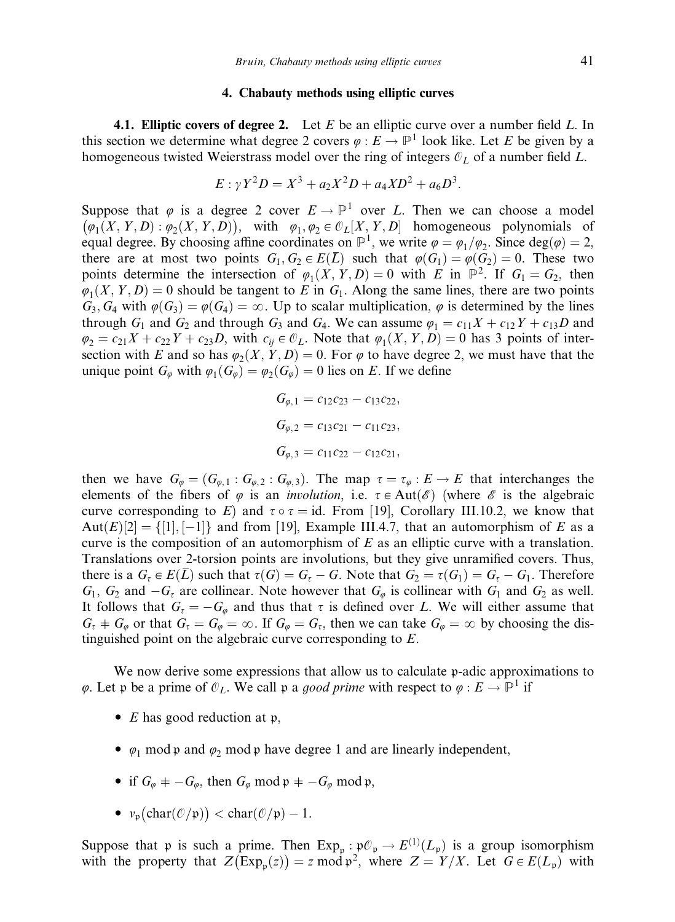#### 4. Chabauty methods using elliptic curves

**4.1. Elliptic covers of degree 2.** Let  $E$  be an elliptic curve over a number field  $L$ . In this section we determine what degree 2 covers  $\varphi : E \to \mathbb{P}^1$  look like. Let E be given by a homogeneous twisted Weierstrass model over the ring of integers  $\mathcal{O}_L$  of a number field L.

$$
E: \gamma Y^2 D = X^3 + a_2 X^2 D + a_4 X D^2 + a_6 D^3.
$$

Suppose that  $\varphi$  is a degree 2 cover  $E \to \mathbb{P}^1$  over L. Then we can choose a model  $(\varphi_1(X, Y, D) : \varphi_2(X, Y, D))$ , with  $\varphi_1, \varphi_2 \in \mathcal{O}_L[X, Y, D]$  homogeneous polynomials of equal degree. By choosing affine coordinates on  $\mathbb{P}^1$ , we write  $\varphi = \varphi_1/\varphi_2$ . Since  $\deg(\varphi) = 2$ , there are at most two points  $G_1, G_2 \in E(\overline{L})$  such that  $\varphi(G_1) = \varphi(G_2) = 0$ . These two points determine the intersection of  $\varphi_1(X, Y, D) = 0$  with E in  $\mathbb{P}^2$ . If  $G_1 = G_2$ , then  $\varphi_1(X, Y, D) = 0$  should be tangent to E in G<sub>1</sub>. Along the same lines, there are two points  $G_3, G_4$  with  $\varphi(G_3) = \varphi(G_4) = \infty$ . Up to scalar multiplication,  $\varphi$  is determined by the lines through  $G_1$  and  $G_2$  and through  $G_3$  and  $G_4$ . We can assume  $\varphi_1 = c_{11}X + c_{12}Y + c_{13}D$  and  $\varphi_2 = c_{21}X + c_{22}Y + c_{23}D$ , with  $c_{ii} \in \mathcal{O}_L$ . Note that  $\varphi_1(X, Y, D) = 0$  has 3 points of intersection with E and so has  $\varphi_2(X, Y, D) = 0$ . For  $\varphi$  to have degree 2, we must have that the unique point  $G_{\varphi}$  with  $\varphi_1(G_{\varphi}) = \varphi_2(G_{\varphi}) = 0$  lies on E. If we define

$$
G_{\varphi,1} = c_{12}c_{23} - c_{13}c_{22},
$$
  
\n
$$
G_{\varphi,2} = c_{13}c_{21} - c_{11}c_{23},
$$
  
\n
$$
G_{\varphi,3} = c_{11}c_{22} - c_{12}c_{21},
$$

then we have  $G_{\varphi} = (G_{\varphi,1} : G_{\varphi,2} : G_{\varphi,3})$ . The map  $\tau = \tau_{\varphi} : E \to E$  that interchanges the elements of the fibers of  $\varphi$  is an *involution*, i.e.  $\tau \in Aut(\mathscr{E})$  (where  $\mathscr{E}$  is the algebraic curve corresponding to E) and  $\tau \circ \tau = id$ . From [19], Corollary III.10.2, we know that Aut $(E)[2] = \{[1], [-1]\}$  and from [19], Example III.4.7, that an automorphism of E as a curve is the composition of an automorphism of  $E$  as an elliptic curve with a translation. Translations over 2-torsion points are involutions, but they give unramified covers. Thus, there is a  $G_t \in E(\overline{L})$  such that  $\tau(G) = G_t - G$ . Note that  $G_2 = \tau(G_1) = G_t - G_1$ . Therefore  $G_1$ ,  $G_2$  and  $-G_{\tau}$  are collinear. Note however that  $G_{\varphi}$  is collinear with  $G_1$  and  $G_2$  as well. It follows that  $G_t = -G_\varphi$  and thus that  $\tau$  is defined over L. We will either assume that  $G_{\tau}$  +  $G_{\varphi}$  or that  $G_{\tau} = G_{\varphi} = \infty$ . If  $G_{\varphi} = G_{\tau}$ , then we can take  $G_{\varphi} = \infty$  by choosing the distinguished point on the algebraic curve corresponding to E.

We now derive some expressions that allow us to calculate p-adic approximations to  $\varphi$ . Let p be a prime of  $\mathcal{O}_L$ . We call p a good prime with respect to  $\varphi : E \to \mathbb{P}^1$  if

- $E$  has good reduction at  $\mathfrak{p}$ ,
- $\varphi_1$  mod p and  $\varphi_2$  mod p have degree 1 and are linearly independent,
- if  $G_{\varphi} = -G_{\varphi}$ , then  $G_{\varphi}$  mod  $\mathfrak{p} = -G_{\varphi}$  mod  $\mathfrak{p}$ ,
- $v_{\mathfrak{p}}(\text{char}(\mathcal{O}/\mathfrak{p})) < \text{char}(\mathcal{O}/\mathfrak{p}) 1.$

Suppose that p is such a prime. Then  $Exp_{\mathfrak{p}} : \mathfrak{p} \mathcal{O}_{\mathfrak{p}} \to E^{(1)}(L_{\mathfrak{p}})$  is a group isomorphism suppose that  $\varphi$  is such a prime. Then  $\text{Exp}_{p}$ :  $\text{Exp}_{p}$  is  $\varphi$  ( $\text{Exp}_{p}$ ) is a group isomorphism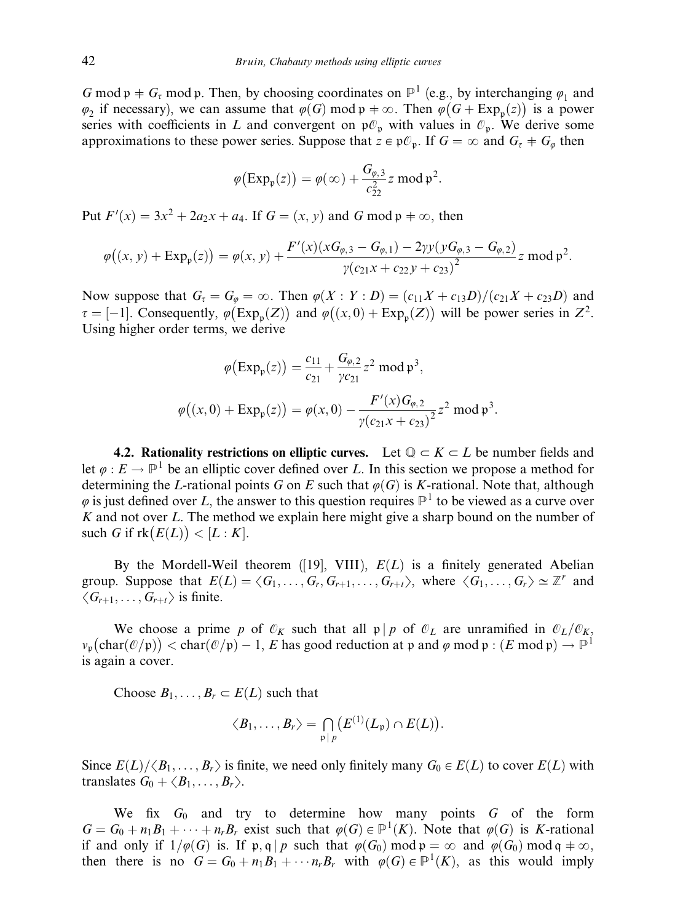G mod  $p + G_t$  mod p. Then, by choosing coordinates on  $\mathbb{P}^1$  (e.g., by interchanging  $\varphi_1$  and  $\varphi_2$  if necessary), we can assume that  $\varphi(G) \mod p + \infty$ . Then  $\varphi(G + Exp_p(z))$  is a power series with coefficients in L and convergent on  $\mathfrak{p}\mathcal{O}_p$  with values in  $\mathcal{O}_p$ . We derive some approximations to these power series. Suppose that  $z \in \mathfrak{p}\mathcal{O}_p$ . If  $G = \infty$  and  $G_\tau + G_\varphi$  then

$$
\varphi\big(\mathrm{Exp}_{\mathfrak{p}}(z)\big) = \varphi(\infty) + \frac{G_{\varphi,3}}{c_{22}^2} z \bmod \mathfrak{p}^2.
$$

Put  $F'(x) = 3x^2 + 2a_2x + a_4$ . If  $G = (x, y)$  and G mod  $\mathfrak{p} \neq \infty$ , then

$$
\varphi\big((x, y) + \text{Exp}_{\mathfrak{p}}(z)\big) = \varphi(x, y) + \frac{F'(x)(xG_{\varphi, 3} - G_{\varphi, 1}) - 2yy(yG_{\varphi, 3} - G_{\varphi, 2})}{y(c_{21}x + c_{22}y + c_{23})^2} z \bmod \mathfrak{p}^2.
$$

Now suppose that  $G_\tau = G_\varphi = \infty$ . Then  $\varphi(X: Y: D) = (c_{11}X + c_{13}D)/(c_{21}X + c_{23}D)$  and  $\tau = [-1]$ . Consequently,  $\varphi$  (Exp<sub>p</sub>(Z)) and  $\varphi$ ((x, 0) + Exp<sub>p</sub>(Z)) will be power series in Z<sup>2</sup>. Using higher order terms, we derive

$$
\varphi\big(\text{Exp}_{\mathfrak{p}}(z)\big) = \frac{c_{11}}{c_{21}} + \frac{G_{\varphi,2}}{\gamma c_{21}} z^2 \text{ mod } \mathfrak{p}^3,
$$

$$
\varphi\big((x,0) + \text{Exp}_{\mathfrak{p}}(z)\big) = \varphi(x,0) - \frac{F'(x)G_{\varphi,2}}{\gamma(c_{21}x + c_{23})^2} z^2 \text{ mod } \mathfrak{p}^3
$$

:

4.2. Rationality restrictions on elliptic curves. Let  $\mathbb{Q} \subset K \subset L$  be number fields and let  $\varphi : E \to \mathbb{P}^1$  be an elliptic cover defined over L. In this section we propose a method for determining the L-rational points G on E such that  $\varphi(G)$  is K-rational. Note that, although  $\varphi$  is just defined over L, the answer to this question requires  $\mathbb{P}^1$  to be viewed as a curve over  $K$  and not over  $L$ . The method we explain here might give a sharp bound on the number of such G if  $rk(E(L)) < [L:K]$ .

By the Mordell-Weil theorem ([19], VIII),  $E(L)$  is a finitely generated Abelian group. Suppose that  $E(L) = \langle G_1, \ldots, G_r, G_{r+1}, \ldots, G_{r+t} \rangle$ , where  $\langle G_1, \ldots, G_r \rangle \simeq \mathbb{Z}^r$  and  $\langle G_{r+1}, \ldots, G_{r+t} \rangle$  is finite.

We choose a prime p of  $\mathcal{O}_K$  such that all  $\mathfrak{p} | p$  of  $\mathcal{O}_L$  are unramified in  $\mathcal{O}_L/\mathcal{O}_K$ ,  $v_{\mathfrak{p}}(\text{char}(\mathcal{O}/\mathfrak{p})) < \text{char}(\mathcal{O}/\mathfrak{p}) - 1$ , E has good reduction at  $\mathfrak{p}$  and  $\varphi \mod \mathfrak{p} : (E \mod \mathfrak{p}) \to \mathbb{P}^1$ is again a cover.

Choose  $B_1, \ldots, B_r \subset E(L)$  such that

$$
\langle B_1,\ldots,B_r\rangle=\bigcap_{\mathfrak{p}|p}\bigl(E^{(1)}(L_{\mathfrak{p}})\cap E(L)\bigr).
$$

Since  $E(L)/\langle B_1,\ldots, B_r\rangle$  is finite, we need only finitely many  $G_0 \in E(L)$  to cover  $E(L)$  with translates  $G_0 + \langle B_1, \ldots, B_r \rangle$ .

We fix  $G_0$  and try to determine how many points  $G$  of the form  $G = G_0 + n_1B_1 + \cdots + n_rB_r$  exist such that  $\varphi(G) \in \mathbb{P}^1(K)$ . Note that  $\varphi(G)$  is K-rational if and only if  $1/\varphi(G)$  is. If p; q | p such that  $\varphi(G_0) \mod p = \infty$  and  $\varphi(G_0) \mod q + \infty$ , then there is no  $G = G_0 + n_1 B_1 + \cdots + n_r B_r$  with  $\varphi(G) \in \mathbb{P}^1(K)$ , as this would imply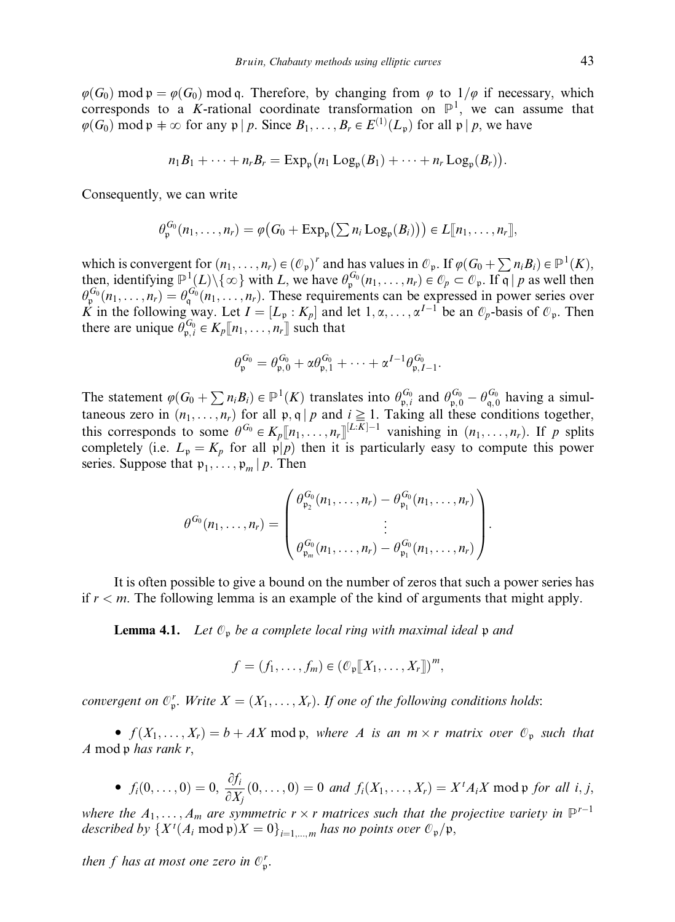$\varphi(G_0)$  mod  $\varphi = \varphi(G_0)$  mod q. Therefore, by changing from  $\varphi$  to  $1/\varphi$  if necessary, which corresponds to a K-rational coordinate transformation on  $\mathbb{P}^1$ , we can assume that  $\varphi(G_0)$  mod  $\mathfrak{p} \neq \infty$  for any  $\mathfrak{p} \mid p$ . Since  $B_1, \ldots, B_r \in E^{(1)}(L_{\mathfrak{p}})$  for all  $\mathfrak{p} \mid p$ , we have

$$
n_1B_1+\cdots+n_rB_r=\mathrm{Exp}_{\mathfrak{p}}(n_1\mathrm{Log}_{\mathfrak{p}}(B_1)+\cdots+n_r\mathrm{Log}_{\mathfrak{p}}(B_r)).
$$

Consequently, we can write

$$
\theta_{\mathfrak{p}}^{G_0}(n_1,\ldots,n_r)=\varphi\big(G_0+\mathrm{Exp}_{\mathfrak{p}}\big(\sum n_i\mathrm{Log}_{\mathfrak{p}}(B_i)\big)\big)\in L[\![n_1,\ldots,n_r]\!],
$$

which is convergent for  $(n_1, \ldots, n_r) \in (\mathcal{O}_p)^r$  and has values in  $\mathcal{O}_p$ . If  $\varphi(G_0 + \sum n_i B_i) \in \mathbb{P}^1(K)$ , then, identifying  $\mathbb{P}^1(L)\setminus\{\infty\}$  with L, we have  $\theta_{\mathfrak{p}}^{G_0}(n_1,\ldots,n_r)\in\mathcal{O}_p\subset\mathcal{O}_p$ . If  $\mathfrak{q}|p$  as well then  $\theta_{\varphi}^{G_0}(n_1,\ldots,n_r) = \theta_{\varphi}^{G_0}(n_1,\ldots,n_r)$ . These requirements can be expressed in power series over K in the following way. Let  $I = [L_p : K_p]$  and let  $1, \alpha, \dots, \alpha^{I-1}$  be an  $\mathcal{O}_p$ -basis of  $\mathcal{O}_p$ . Then there are unique  $\theta_{p,i}^{G_0} \in K_p[\![n_1,\ldots,n_r]\!]$  such that

$$
\theta_{\mathfrak{p}}^{G_0} = \theta_{\mathfrak{p},0}^{G_0} + \alpha \theta_{\mathfrak{p},1}^{G_0} + \cdots + \alpha^{I-1} \theta_{\mathfrak{p},I-1}^{G_0}.
$$

The statement  $\varphi(G_0 + \sum n_i B_i) \in \mathbb{P}^1(K)$  translates into  $\theta_{\mathfrak{p},i}^{G_0}$  and  $\theta_{\mathfrak{p},0}^{G_0} - \theta_{\mathfrak{q},0}^{G_0}$  having a simultaneous zero in  $(n_1, \ldots, n_r)$  for all  $\mathfrak{p}, \mathfrak{q} \mid p$  and  $i \geq 1$ . Taking all these conditions together, this corresponds to some  $\theta^{G_0} \in K_p[[n_1,\ldots,n_r]]^{[L:K]-1}$  vanishing in  $(n_1,\ldots,n_r)$ . If p splits completely (i.e.  $L_p = K_p$  for all  $p/p$ ) then it is particularly easy to compute this power series. Suppose that  $p_1, \ldots, p_m | p$ . Then

$$
\theta^{G_0}(n_1,\ldots,n_r) = \begin{pmatrix} \theta_{\mathfrak{p}_2}^{G_0}(n_1,\ldots,n_r) - \theta_{\mathfrak{p}_1}^{G_0}(n_1,\ldots,n_r) \\ \vdots \\ \theta_{\mathfrak{p}_m}^{G_0}(n_1,\ldots,n_r) - \theta_{\mathfrak{p}_1}^{G_0}(n_1,\ldots,n_r) \end{pmatrix}.
$$

It is often possible to give a bound on the number of zeros that such a power series has if  $r < m$ . The following lemma is an example of the kind of arguments that might apply.

**Lemma 4.1.** Let  $\mathcal{O}_p$  be a complete local ring with maximal ideal  $p$  and

$$
f = (f_1, \ldots, f_m) \in (\mathcal{O}_p[[X_1, \ldots, X_r]])^m,
$$

convergent on  $\mathcal{O}_p^r$ . Write  $X = (X_1, \ldots, X_r)$ . If one of the following conditions holds:

•  $f(X_1, \ldots, X_r) = b + AX \mod p$ , where A is an  $m \times r$  matrix over  $\mathcal{O}_p$  such that A mod  $p$  has rank r,

• 
$$
f_i(0,\ldots,0) = 0
$$
,  $\frac{\partial f_i}{\partial X_j}(0,\ldots,0) = 0$  and  $f_i(X_1,\ldots,X_r) = X^t A_i X \text{ mod } \mathfrak{p}$  for all  $i, j$ ,

where the  $A_1, \ldots, A_m$  are symmetric  $r \times r$  matrices such that the projective variety in  $\mathbb{P}^{r-1}$ described by  $\{X^t(A_i \mod \mathfrak{p})X = 0\}_{i=1,\dots,m}$  has no points over  $\mathcal{O}_{\mathfrak{p}}/\mathfrak{p}$ ,

then f has at most one zero in  $\mathcal{O}_p^r$ .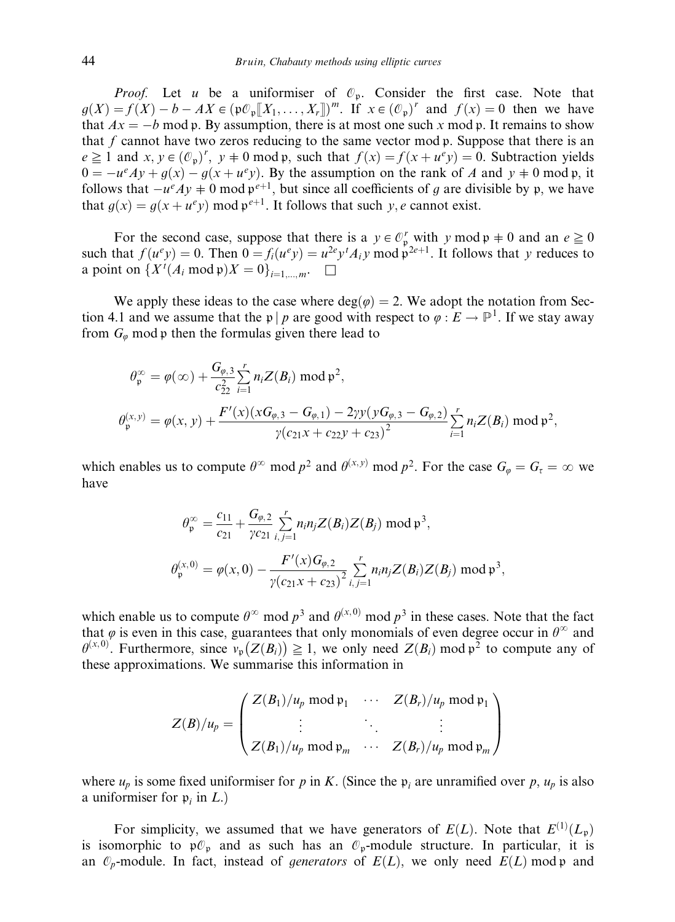*Proof.* Let u be a uniformiser of  $\mathcal{O}_p$ . Consider the first case. Note that  $g(X) = f(X) - b - AX \in (\mathfrak{p} \mathcal{O}_{\mathfrak{p}}[[X_1, \dots, X_r]])^m$ . If  $x \in (\mathcal{O}_{\mathfrak{p}})^r$  and  $f(x) = 0$  then we have that  $Ax = -b$  mod p. By assumption, there is at most one such x mod p. It remains to show that f cannot have two zeros reducing to the same vector mod  $\mathfrak{p}$ . Suppose that there is an  $e \ge 1$  and  $x, y \in (\mathcal{O}_p)'$ ,  $y \ne 0$  mod p, such that  $f(x) = f(x + u^e y) = 0$ . Subtraction yields  $0 = -u^{\varrho}Ay + g(x) - g(x + u^{\varrho}y)$ . By the assumption on the rank of A and  $y \neq 0$  mod p, it follows that  $-u^{\rho}Ay \neq 0$  mod  $p^{\rho+1}$ , but since all coefficients of g are divisible by p, we have that  $g(x) = g(x + u^e y) \text{ mod } \mathfrak{p}^{e+1}$ . It follows that such y, e cannot exist.

For the second case, suppose that there is a  $y \in \mathcal{O}_p^r$  with y mod  $p \neq 0$  and an  $e \geq 0$ such that  $f(u^e y) = 0$ . Then  $0 = f_i(u^e y) = u^{2e} y^t A_i y$  mod  $p^{2e+1}$ . It follows that y reduces to a point on  $\{X^t(A_i \mod p)X = 0\}_{i=1,\dots,m}$ .  $\Box$ 

We apply these ideas to the case where  $deg(\varphi) = 2$ . We adopt the notation from Section 4.1 and we assume that the p | p are good with respect to  $\varphi : E \to \mathbb{P}^1$ . If we stay away from  $G_{\varphi}$  mod p then the formulas given there lead to

$$
\theta_{\mathfrak{p}}^{\infty} = \varphi(\infty) + \frac{G_{\varphi,3}}{c_{22}^2} \sum_{i=1}^r n_i Z(B_i) \bmod \mathfrak{p}^2,
$$
  

$$
\theta_{\mathfrak{p}}^{(x,y)} = \varphi(x,y) + \frac{F'(x)(xG_{\varphi,3} - G_{\varphi,1}) - 2\gamma y(yG_{\varphi,3} - G_{\varphi,2})}{\gamma (c_{21}x + c_{22}y + c_{23})^2} \sum_{i=1}^r n_i Z(B_i) \bmod \mathfrak{p}^2,
$$

which enables us to compute  $\theta^{\infty}$  mod  $p^2$  and  $\theta^{(x,y)}$  mod  $p^2$ . For the case  $G_{\varphi} = G_{\tau} = \infty$  we have

$$
\theta_{\mathfrak{p}}^{\infty} = \frac{c_{11}}{c_{21}} + \frac{G_{\varphi,2}}{\gamma c_{21}} \sum_{i,j=1}^{r} n_i n_j Z(B_i) Z(B_j) \bmod \mathfrak{p}^3,
$$
  

$$
\theta_{\mathfrak{p}}^{(x,0)} = \varphi(x,0) - \frac{F'(x)G_{\varphi,2}}{\gamma (c_{21}x + c_{23})^2} \sum_{i,j=1}^{r} n_i n_j Z(B_i) Z(B_j) \bmod \mathfrak{p}^3,
$$

which enable us to compute  $\theta^{\infty}$  mod  $p^3$  and  $\theta^{(x,0)}$  mod  $p^3$  in these cases. Note that the fact that  $\varphi$  is even in this case, guarantees that only monomials of even degree occur in  $\theta^{\infty}$  and  $\theta^{(x,0)}$ . Furthermore, since  $v_p(Z(B_i)) \ge 1$ , we only need  $Z(B_i) \mod p^2$  to compute any of these approximations. We summarise this information in

$$
Z(B)/u_p = \begin{pmatrix} Z(B_1)/u_p \bmod \mathfrak{p}_1 & \cdots & Z(B_r)/u_p \bmod \mathfrak{p}_1 \\ \vdots & \ddots & \vdots \\ Z(B_1)/u_p \bmod \mathfrak{p}_m & \cdots & Z(B_r)/u_p \bmod \mathfrak{p}_m \end{pmatrix}
$$

where  $u_p$  is some fixed uniformiser for p in K. (Since the  $p_i$  are unramified over p,  $u_p$  is also a uniformiser for  $p_i$  in  $L$ .)

For simplicity, we assumed that we have generators of  $E(L)$ . Note that  $E^{(1)}(L_p)$ is isomorphic to  $p\mathcal{O}_p$  and as such has an  $\mathcal{O}_p$ -module structure. In particular, it is an  $\mathcal{O}_p$ -module. In fact, instead of *generators* of  $E(L)$ , we only need  $E(L)$  mod p and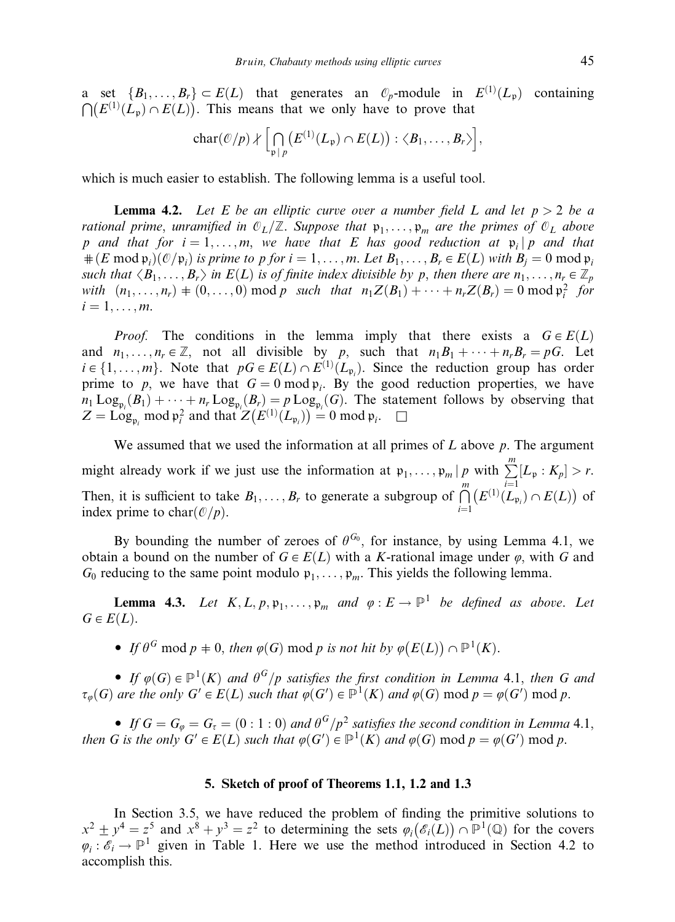a set  $\{B_1,\ldots,B_r\} \subset E(L)$  that generates an  $\mathcal{O}_p$ -module in  $E^{(1)}(L_p)$  containing  $\bigcap (E^{(1)}(L_p) \cap E(L))$ . This means that we only have to prove that

$$
char(\mathcal{O}/p) \nmid \big[\bigcap_{\mathfrak{p} \mid p} \big(E^{(1)}(L_{\mathfrak{p}}) \cap E(L)\big) : \langle B_1, \ldots, B_r \rangle \big],
$$

which is much easier to establish. The following lemma is a useful tool.

**Lemma 4.2.** Let E be an elliptic curve over a number field L and let  $p > 2$  be a rational prime, unramified in  $\mathbb{O}_L/\mathbb{Z}$ . Suppose that  $\mathfrak{p}_1, \ldots, \mathfrak{p}_m$  are the primes of  $\mathbb{O}_L$  above p and that for  $i = 1, \ldots, m$ , we have that E has good reduction at  $\mathfrak{p}_i | p$  and that  $\#(E \mod \mathfrak{p}_i)(\mathcal{O}/\mathfrak{p}_i)$  is prime to p for  $i = 1, \ldots, m$ . Let  $B_1, \ldots, B_r \in E(L)$  with  $B_i = 0 \mod \mathfrak{p}_i$ such that  $\langle B_1,\ldots,B_r\rangle$  in  $E(L)$  is of finite index divisible by p, then there are  $n_1,\ldots,n_r\in\mathbb{Z}_p$ with  $(n_1, \ldots, n_r) \neq (0, \ldots, 0) \mod p$  such that  $n_1 Z(B_1) + \cdots + n_r Z(B_r) = 0 \mod p_i^2$  for  $i = 1, \ldots, m$ .

*Proof.* The conditions in the lemma imply that there exists a  $G \in E(L)$ and  $n_1, \ldots, n_r \in \mathbb{Z}$ , not all divisible by p, such that  $n_1B_1 + \cdots + n_rB_r = pG$ . Let  $i \in \{1, \ldots, m\}$ . Note that  $pG \in E(L) \cap E^{(1)}(L_{\mathfrak{p}_i})$ . Since the reduction group has order prime to p, we have that  $G = 0 \mod p_i$ . By the good reduction properties, we have  $n_1 \text{Log}_{p_i}(B_1) + \cdots + n_r \text{Log}_{p_i}(B_r) = p \text{Log}_{p_i}(G)$ . The statement follows by observing that  $Z = \text{Log}_{\mathfrak{p}_i} \text{ mod } \mathfrak{p}_i^2$  and that  $Z(E^{(1)}(L_{\mathfrak{p}_i})) = 0 \text{ mod } \mathfrak{p}_i$ .

We assumed that we used the information at all primes of  $L$  above  $p$ . The argument might already work if we just use the information at  $\mathfrak{p}_1, \ldots, \mathfrak{p}_m \mid p$  with  $\sum_{m=1}^m$  $[L_{\mathfrak{p}} : K_{p}] > r.$ Then, it is sufficient to take  $B_1, \ldots, B_r$  to generate a subgroup of  $\bigcap^m$  $i=1$  $(E^{(1)}(L_{\mathfrak{p}_i}) \cap E(L))$  of index prime to char $(\mathcal{O}/p)$ .

By bounding the number of zeroes of  $\theta^{G_0}$ , for instance, by using Lemma 4.1, we obtain a bound on the number of  $G \in E(L)$  with a K-rational image under  $\varphi$ , with G and  $G_0$  reducing to the same point modulo  $\mathfrak{p}_1, \ldots, \mathfrak{p}_m$ . This yields the following lemma.

**Lemma 4.3.** Let  $K, L, p, \mathfrak{p}_1, \ldots, \mathfrak{p}_m$  and  $\varphi : E \to \mathbb{P}^1$  be defined as above. Let  $G \in E(L)$ .

• If  $\theta^G \bmod p \neq 0$ , then  $\varphi(G) \bmod p$  is not hit by  $\varphi(E(L)) \cap \mathbb{P}^1(K)$ .

• If  $\varphi(G) \in \mathbb{P}^1(K)$  and  $\theta^G/p$  satisfies the first condition in Lemma 4.1, then G and  $\tau_{\varphi}(G)$  are the only  $G' \in E(L)$  such that  $\varphi(G') \in \mathbb{P}^1(K)$  and  $\varphi(G) \mod p = \varphi(G') \mod p$ .

• If  $G = G_{\varphi} = G_{\tau} = (0:1:0)$  and  $\theta^G/p^2$  satisfies the second condition in Lemma 4.1, then G is the only  $G' \in E(L)$  such that  $\varphi(G') \in \mathbb{P}^1(K)$  and  $\varphi(G) \mod p = \varphi(G') \mod p$ .

# 5. Sketch of proof of Theorems 1.1, 1.2 and 1.3

In Section 3.5, we have reduced the problem of finding the primitive solutions to  $x^2 \pm y^4 = z^5$  and  $x^8 + y^3 = z^2$  to determining the sets  $\varphi_i(\mathscr{E}_i(L)) \cap \mathbb{P}^1(\mathbb{Q})$  for the covers  $\varphi_i : \mathscr{E}_i \to \mathbb{P}^1$  given in Table 1. Here we use the method introduced in Section 4.2 to accomplish this.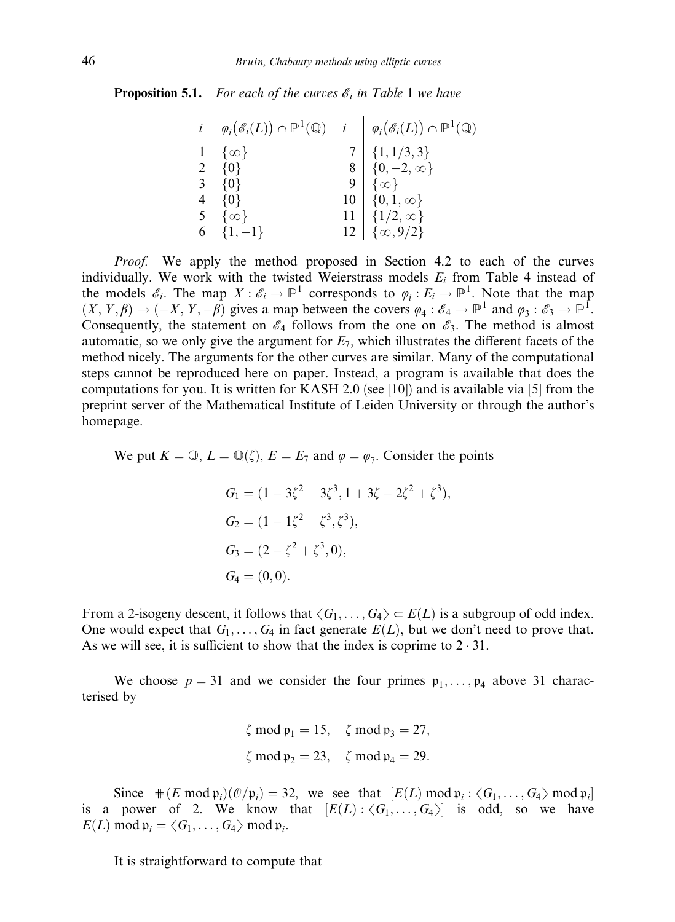**Proposition 5.1.** For each of the curves  $\mathscr{E}_i$  in Table 1 we have

| $i \mid \varphi_i(\mathscr{E}_i(L)) \cap \mathbb{P}^1(\mathbb{Q}) \quad i \mid \varphi_i(\mathscr{E}_i(L)) \cap \mathbb{P}^1(\mathbb{Q})$ |                                                                             |
|-------------------------------------------------------------------------------------------------------------------------------------------|-----------------------------------------------------------------------------|
| $1   \{ \infty \}$                                                                                                                        |                                                                             |
| $2   \{0\}$                                                                                                                               | $\begin{array}{c c} 7 & \{1, 1/3, 3\} \\ 8 & \{0, -2, \infty\} \end{array}$ |
| $\{0\}$                                                                                                                                   | $\{\infty\}$                                                                |
| $4   {0}$                                                                                                                                 | $10\,$   $\{0,1,\infty\}$                                                   |
| $5 \quad \{\infty\}$                                                                                                                      | 11 $\{1/2, \infty\}$<br>12 $\{\infty, 9/2\}$                                |
| $6   \{1, -1\}$                                                                                                                           |                                                                             |

*Proof.* We apply the method proposed in Section 4.2 to each of the curves individually. We work with the twisted Weierstrass models  $E_i$  from Table 4 instead of the models  $\mathscr{E}_i$ . The map  $X : \mathscr{E}_i \to \mathbb{P}^1$  corresponds to  $\varphi_i : E_i \to \mathbb{P}^1$ . Note that the map  $(X, Y, \beta) \to (-X, Y, -\beta)$  gives a map between the covers  $\varphi_4 : \mathscr{E}_4 \to \mathbb{P}^1$  and  $\varphi_3 : \mathscr{E}_3 \to \mathbb{P}^1$ . Consequently, the statement on  $\mathcal{E}_4$  follows from the one on  $\mathcal{E}_3$ . The method is almost automatic, so we only give the argument for  $E_7$ , which illustrates the different facets of the method nicely. The arguments for the other curves are similar. Many of the computational steps cannot be reproduced here on paper. Instead, a program is available that does the computations for you. It is written for KASH 2.0 (see [10]) and is available via [5] from the preprint server of the Mathematical Institute of Leiden University or through the author's homepage.

We put  $K = \mathbb{Q}, L = \mathbb{Q}(\zeta), E = E_7$  and  $\varphi = \varphi_7$ . Consider the points

$$
G_1 = (1 - 3\zeta^2 + 3\zeta^3, 1 + 3\zeta - 2\zeta^2 + \zeta^3),
$$
  
\n
$$
G_2 = (1 - 1\zeta^2 + \zeta^3, \zeta^3),
$$
  
\n
$$
G_3 = (2 - \zeta^2 + \zeta^3, 0),
$$
  
\n
$$
G_4 = (0, 0).
$$

From a 2-isogeny descent, it follows that  $\langle G_1, \ldots, G_4 \rangle \subset E(L)$  is a subgroup of odd index. One would expect that  $G_1, \ldots, G_4$  in fact generate  $E(L)$ , but we don't need to prove that. As we will see, it is sufficient to show that the index is coprime to  $2 \cdot 31$ .

We choose  $p = 31$  and we consider the four primes  $p_1, \ldots, p_4$  above 31 characterised by

$$
\zeta \mod \mathfrak{p}_1 = 15
$$
,  $\zeta \mod \mathfrak{p}_3 = 27$ ,  
 $\zeta \mod \mathfrak{p}_2 = 23$ ,  $\zeta \mod \mathfrak{p}_4 = 29$ .

Since  $\#(E \mod p_i)(\mathcal{O}/p_i) = 32$ , we see that  $[E(L) \mod p_i : \langle G_1, \ldots, G_4 \rangle \mod p_i]$ is a power of 2. We know that  $|E(L):\langle G_1,\ldots,G_4\rangle|$  is odd, so we have  $E(L) \mod \mathfrak{p}_i = \langle G_1, \ldots, G_4 \rangle \mod \mathfrak{p}_i.$ 

It is straightforward to compute that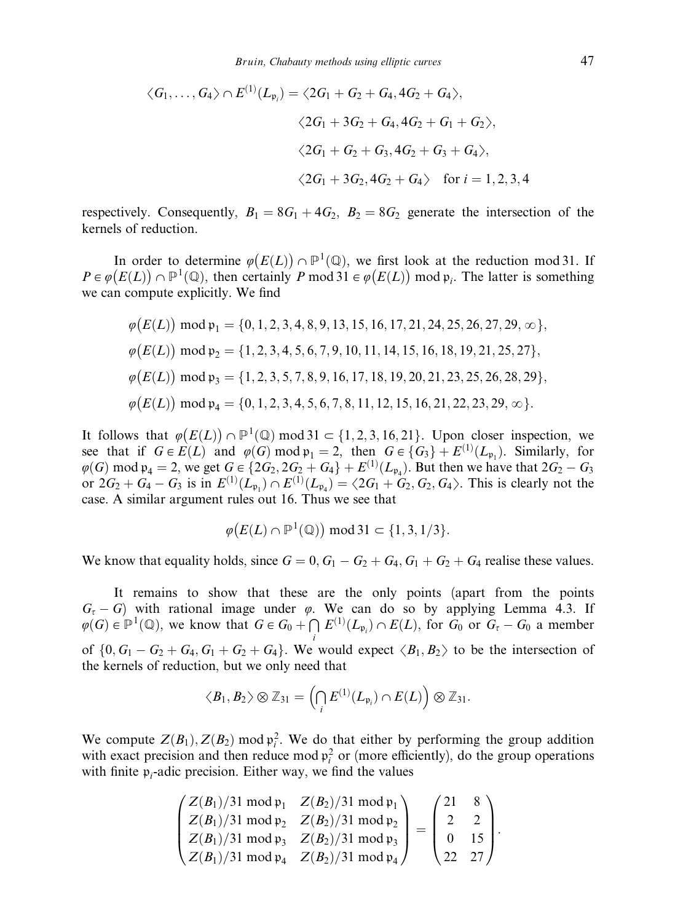$$
\langle G_1, \dots, G_4 \rangle \cap E^{(1)}(L_{\mathfrak{p}_i}) = \langle 2G_1 + G_2 + G_4, 4G_2 + G_4 \rangle,
$$
  

$$
\langle 2G_1 + 3G_2 + G_4, 4G_2 + G_1 + G_2 \rangle,
$$
  

$$
\langle 2G_1 + G_2 + G_3, 4G_2 + G_3 + G_4 \rangle,
$$
  

$$
\langle 2G_1 + 3G_2, 4G_2 + G_4 \rangle \text{ for } i = 1, 2, 3, 4
$$

respectively. Consequently,  $B_1 = 8G_1 + 4G_2$ ,  $B_2 = 8G_2$  generate the intersection of the kernels of reduction.

In order to determine  $\varphi(E(L)) \cap \mathbb{P}^1(\mathbb{Q})$ , we first look at the reduction mod 31. If  $P \in \varphi(E(L)) \cap \mathbb{P}^1(\mathbb{Q})$ , then certainly P mod 31  $\in \varphi(E(L))$  mod  $\mathfrak{p}_i$ . The latter is something we can compute explicitly. We find

$$
\varphi(E(L)) \mod \mathfrak{p}_1 = \{0, 1, 2, 3, 4, 8, 9, 13, 15, 16, 17, 21, 24, 25, 26, 27, 29, \infty\},
$$
  
\n
$$
\varphi(E(L)) \mod \mathfrak{p}_2 = \{1, 2, 3, 4, 5, 6, 7, 9, 10, 11, 14, 15, 16, 18, 19, 21, 25, 27\},
$$
  
\n
$$
\varphi(E(L)) \mod \mathfrak{p}_3 = \{1, 2, 3, 5, 7, 8, 9, 16, 17, 18, 19, 20, 21, 23, 25, 26, 28, 29\},
$$
  
\n
$$
\varphi(E(L)) \mod \mathfrak{p}_4 = \{0, 1, 2, 3, 4, 5, 6, 7, 8, 11, 12, 15, 16, 21, 22, 23, 29, \infty\}.
$$

It follows that  $\varphi(E(L)) \cap \mathbb{P}^1(\mathbb{Q})$  mod  $31 \subset \{1, 2, 3, 16, 21\}$ . Upon closer inspection, we see that if  $G \in E(L)$  and  $\varphi(G) \mod \mathfrak{p}_1 = 2$ , then  $G \in \{G_3\} + E^{(1)}(L_{\mathfrak{p}_1})$ . Similarly, for  $\varphi(G) \mod \mathfrak{p}_4 = 2$ , we get  $G \in \{2G_2, 2G_2 + G_4\} + E^{(1)}(L_{\mathfrak{p}_4})$ . But then we have that  $2G_2 - G_3$ or  $2G_2 + G_4 - G_3$  is in  $E^{(1)}(L_{\mathfrak{p}_1}) \cap E^{(1)}(L_{\mathfrak{p}_4}) = \langle 2G_1 + G_2, G_2, G_4 \rangle$ . This is clearly not the case. A similar argument rules out 16. Thus we see that

$$
\varphi(E(L) \cap \mathbb{P}^1(\mathbb{Q})) \text{ mod } 31 \subset \{1, 3, 1/3\}.
$$

We know that equality holds, since  $G = 0$ ,  $G_1 - G_2 + G_4$ ,  $G_1 + G_2 + G_4$  realise these values.

It remains to show that these are the only points (apart from the points  $G<sub>\tau</sub> - G$ ) with rational image under  $\varphi$ . We can do so by applying Lemma 4.3. If  $\varphi(G) \in \mathbb{P}^1(\mathbb{Q})$ , we know that  $G \in G_0 + \bigcap E^{(1)}(L_{\mathfrak{p}_i}) \cap E(L)$ , for  $G_0$  or  $G_\tau - G_0$  a member of  $\{0, G_1 - G_2 + G_4, G_1 + G_2 + G_4\}$ . We would expect  $\langle B_1, B_2 \rangle$  to be the intersection of the kernels of reduction, but we only need that

$$
\langle B_1, B_2 \rangle \otimes \mathbb{Z}_{31} = \left( \bigcap_i E^{(1)}(L_{\mathfrak{p}_i}) \cap E(L) \right) \otimes \mathbb{Z}_{31}.
$$

We compute  $Z(B_1)$ ,  $Z(B_2)$  mod  $\mathfrak{p}_i^2$ . We do that either by performing the group addition with exact precision and then reduce mod  $\mathfrak{p}_i^2$  or (more efficiently), do the group operations with finite  $p_i$ -adic precision. Either way, we find the values

$$
\begin{pmatrix}\nZ(B_1)/31 \mod \mathfrak{p}_1 & Z(B_2)/31 \mod \mathfrak{p}_1 \\
Z(B_1)/31 \mod \mathfrak{p}_2 & Z(B_2)/31 \mod \mathfrak{p}_2 \\
Z(B_1)/31 \mod \mathfrak{p}_3 & Z(B_2)/31 \mod \mathfrak{p}_3 \\
Z(B_1)/31 \mod \mathfrak{p}_4 & Z(B_2)/31 \mod \mathfrak{p}_4\n\end{pmatrix} = \begin{pmatrix}\n21 & 8 \\
2 & 2 \\
0 & 15 \\
22 & 27\n\end{pmatrix}.
$$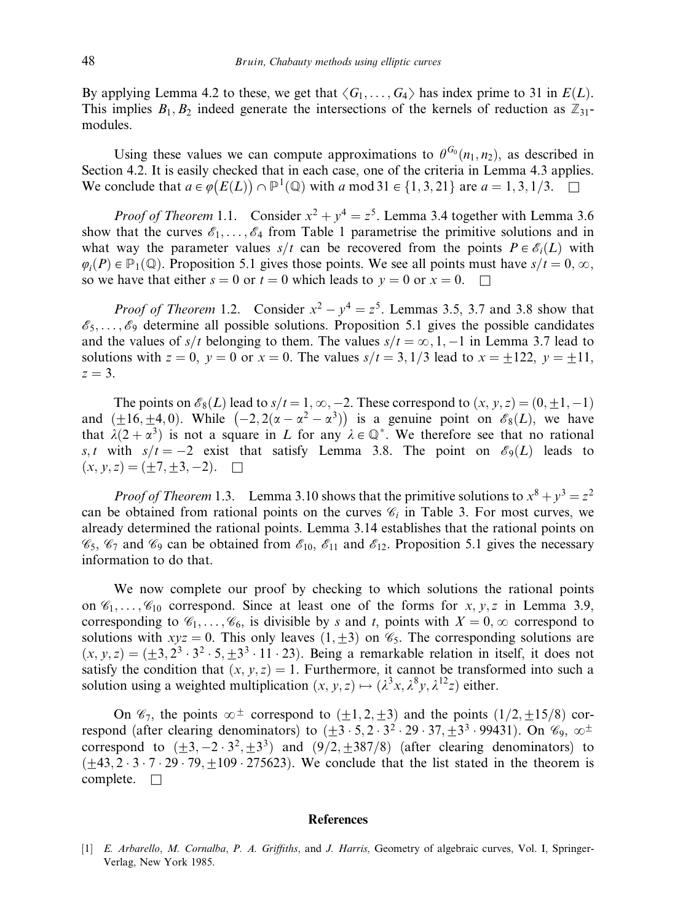By applying Lemma 4.2 to these, we get that  $\langle G_1, \ldots, G_4 \rangle$  has index prime to 31 in  $E(L)$ . This implies  $B_1, B_2$  indeed generate the intersections of the kernels of reduction as  $\mathbb{Z}_{31}$ modules.

Using these values we can compute approximations to  $\theta^{G_0}(n_1,n_2)$ , as described in Section 4.2. It is easily checked that in each case, one of the criteria in Lemma 4.3 applies. We conclude that  $a \in \varphi(E(L)) \cap \mathbb{P}^1(\mathbb{Q})$  with a mod  $31 \in \{1, 3, 21\}$  are  $a = 1, 3, 1/3$ .

*Proof of Theorem* 1.1. Consider  $x^2 + y^4 = z^5$ . Lemma 3.4 together with Lemma 3.6 show that the curves  $\mathscr{E}_1, \ldots, \mathscr{E}_4$  from Table 1 parametrise the primitive solutions and in what way the parameter values  $s/t$  can be recovered from the points  $P \in \mathscr{E}_i(L)$  with  $\varphi_i(P) \in \mathbb{P}_1(\mathbb{Q})$ . Proposition 5.1 gives those points. We see all points must have  $s/t = 0, \infty$ , so we have that either  $s = 0$  or  $t = 0$  which leads to  $y = 0$  or  $x = 0$ .

*Proof of Theorem* 1.2. Consider  $x^2 - y^4 = z^5$ . Lemmas 3.5, 3.7 and 3.8 show that  $\mathscr{E}_5, \ldots, \mathscr{E}_9$  determine all possible solutions. Proposition 5.1 gives the possible candidates and the values of  $s/t$  belonging to them. The values  $s/t = \infty, 1, -1$  in Lemma 3.7 lead to solutions with  $z = 0$ ,  $y = 0$  or  $x = 0$ . The values  $s/t = 3$ ,  $1/3$  lead to  $x = \pm 122$ ,  $y = \pm 11$ ,  $z = 3$ .

The points on  $\mathcal{E}_8(L)$  lead to  $s/t = 1, \infty, -2$ . These correspond to  $(x, y, z) = (0, +1, -1)$ and  $(\pm 16, \pm 4, 0)$ . While  $(-2, 2(\alpha - \alpha^2 - \alpha^3))$  is a genuine point on  $\mathscr{E}_8(L)$ , we have that  $\lambda(2+\alpha^3)$  is not a square in L for any  $\lambda \in \mathbb{Q}^*$ . We therefore see that no rational s, t with  $s/t = -2$  exist that satisfy Lemma 3.8. The point on  $\mathcal{E}_9(L)$  leads to  $(x, y, z) = (\pm 7, \pm 3, -2).$ 

*Proof of Theorem* 1.3. Lemma 3.10 shows that the primitive solutions to  $x^8 + y^3 = z^2$ can be obtained from rational points on the curves  $\mathcal{C}_i$  in Table 3. For most curves, we already determined the rational points. Lemma 3.14 establishes that the rational points on  $\mathcal{C}_5$ ,  $\mathcal{C}_7$  and  $\mathcal{C}_9$  can be obtained from  $\mathcal{E}_{10}$ ,  $\mathcal{E}_{11}$  and  $\mathcal{E}_{12}$ . Proposition 5.1 gives the necessary information to do that.

We now complete our proof by checking to which solutions the rational points on  $\mathscr{C}_1,\ldots,\mathscr{C}_{10}$  correspond. Since at least one of the forms for  $x, y, z$  in Lemma 3.9, corresponding to  $\mathcal{C}_1, \ldots, \mathcal{C}_6$ , is divisible by s and t, points with  $X = 0$ ,  $\infty$  correspond to solutions with  $xyz = 0$ . This only leaves  $(1, \pm 3)$  on  $\mathcal{C}_5$ . The corresponding solutions are  $(x, y, z) = (\pm 3, 2^3 \cdot 3^2 \cdot 5, \pm 3^3 \cdot 11 \cdot 23)$ . Being a remarkable relation in itself, it does not satisfy the condition that  $(x, y, z) = 1$ . Furthermore, it cannot be transformed into such a solution using a weighted multiplication  $(x, y, z) \mapsto (\lambda^3 x, \lambda^8 y, \lambda^{12} z)$  either.

On  $\mathcal{C}_7$ , the points  $\infty^{\pm}$  correspond to  $(\pm 1, 2, \pm 3)$  and the points  $(1/2, \pm 15/8)$  correspond (after clearing denominators) to  $(+3 \cdot 5, 2 \cdot 3^2 \cdot 29 \cdot 37, +3^3 \cdot 99431)$ . On  $\mathcal{C}_9$ ,  $\infty^{\pm}$ correspond to  $(\pm 3, -2 \cdot 3^2, \pm 3^3)$  and  $(9/2, \pm 387/8)$  (after clearing denominators) to  $(+43.2 \cdot 3 \cdot 7 \cdot 29 \cdot 79, +109 \cdot 275623)$ . We conclude that the list stated in the theorem is complete.  $\square$ 

### **References**

<sup>[1]</sup> E. Arbarello, M. Cornalba, P. A. Griffiths, and J. Harris, Geometry of algebraic curves, Vol. I, Springer-Verlag, New York 1985.